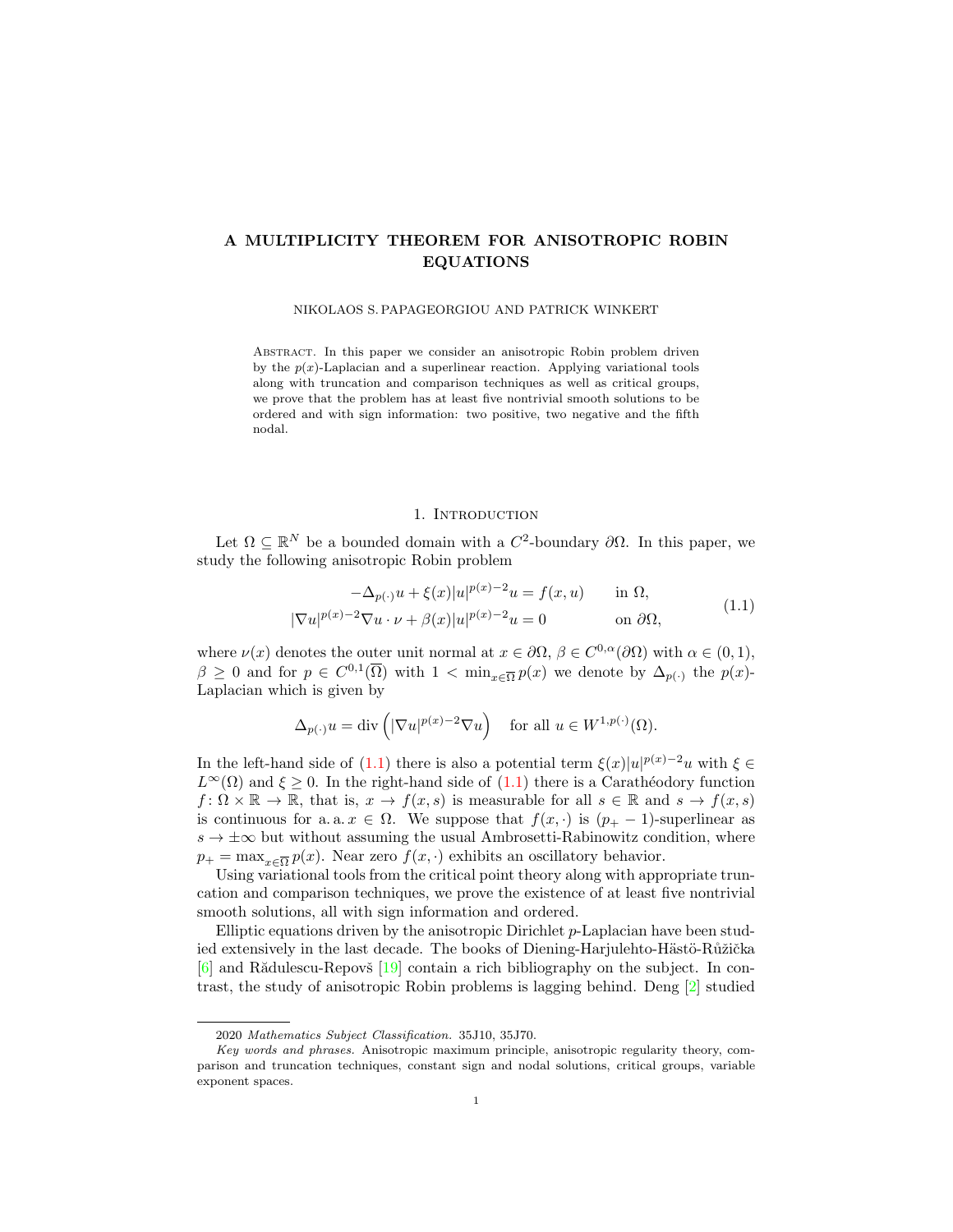# A MULTIPLICITY THEOREM FOR ANISOTROPIC ROBIN EQUATIONS

#### NIKOLAOS S. PAPAGEORGIOU AND PATRICK WINKERT

Abstract. In this paper we consider an anisotropic Robin problem driven by the  $p(x)$ -Laplacian and a superlinear reaction. Applying variational tools along with truncation and comparison techniques as well as critical groups, we prove that the problem has at least five nontrivial smooth solutions to be ordered and with sign information: two positive, two negative and the fifth nodal.

# 1. INTRODUCTION

Let  $\Omega \subseteq \mathbb{R}^N$  be a bounded domain with a  $C^2$ -boundary  $\partial\Omega$ . In this paper, we study the following anisotropic Robin problem

<span id="page-0-0"></span>
$$
-\Delta_{p(\cdot)}u + \xi(x)|u|^{p(x)-2}u = f(x,u) \quad \text{in } \Omega,
$$
  

$$
|\nabla u|^{p(x)-2}\nabla u \cdot \nu + \beta(x)|u|^{p(x)-2}u = 0 \quad \text{on } \partial\Omega,
$$
 (1.1)

where  $\nu(x)$  denotes the outer unit normal at  $x \in \partial\Omega$ ,  $\beta \in C^{0,\alpha}(\partial\Omega)$  with  $\alpha \in (0,1)$ ,  $\beta \geq 0$  and for  $p \in C^{0,1}(\overline{\Omega})$  with  $1 < \min_{x \in \overline{\Omega}} p(x)$  we denote by  $\Delta_{p(\cdot)}$  the  $p(x)$ -Laplacian which is given by

$$
\Delta_{p(\cdot)} u = \mathrm{div} \left( |\nabla u|^{p(x)-2} \nabla u \right) \quad \text{for all } u \in W^{1,p(\cdot)}(\Omega).
$$

In the left-hand side of [\(1.1\)](#page-0-0) there is also a potential term  $\xi(x)|u|^{p(x)-2}u$  with  $\xi \in$  $L^{\infty}(\Omega)$  and  $\xi \geq 0$ . In the right-hand side of  $(1.1)$  there is a Carathéodory function  $f: \Omega \times \mathbb{R} \to \mathbb{R}$ , that is,  $x \to f(x, s)$  is measurable for all  $s \in \mathbb{R}$  and  $s \to f(x, s)$ is continuous for a. a.  $x \in \Omega$ . We suppose that  $f(x, \cdot)$  is  $(p_{+} - 1)$ -superlinear as  $s \to \pm \infty$  but without assuming the usual Ambrosetti-Rabinowitz condition, where  $p_+ = \max_{x \in \overline{\Omega}} p(x)$ . Near zero  $f(x, \cdot)$  exhibits an oscillatory behavior.

Using variational tools from the critical point theory along with appropriate truncation and comparison techniques, we prove the existence of at least five nontrivial smooth solutions, all with sign information and ordered.

Elliptic equations driven by the anisotropic Dirichlet  $p$ -Laplacian have been studied extensively in the last decade. The books of Diening-Harjulehto-Hästö-Růžička  $[6]$  and Rădulescu-Repovš  $[19]$  contain a rich bibliography on the subject. In contrast, the study of anisotropic Robin problems is lagging behind. Deng [\[2\]](#page-15-1) studied

<sup>2020</sup> Mathematics Subject Classification. 35J10, 35J70.

Key words and phrases. Anisotropic maximum principle, anisotropic regularity theory, comparison and truncation techniques, constant sign and nodal solutions, critical groups, variable exponent spaces.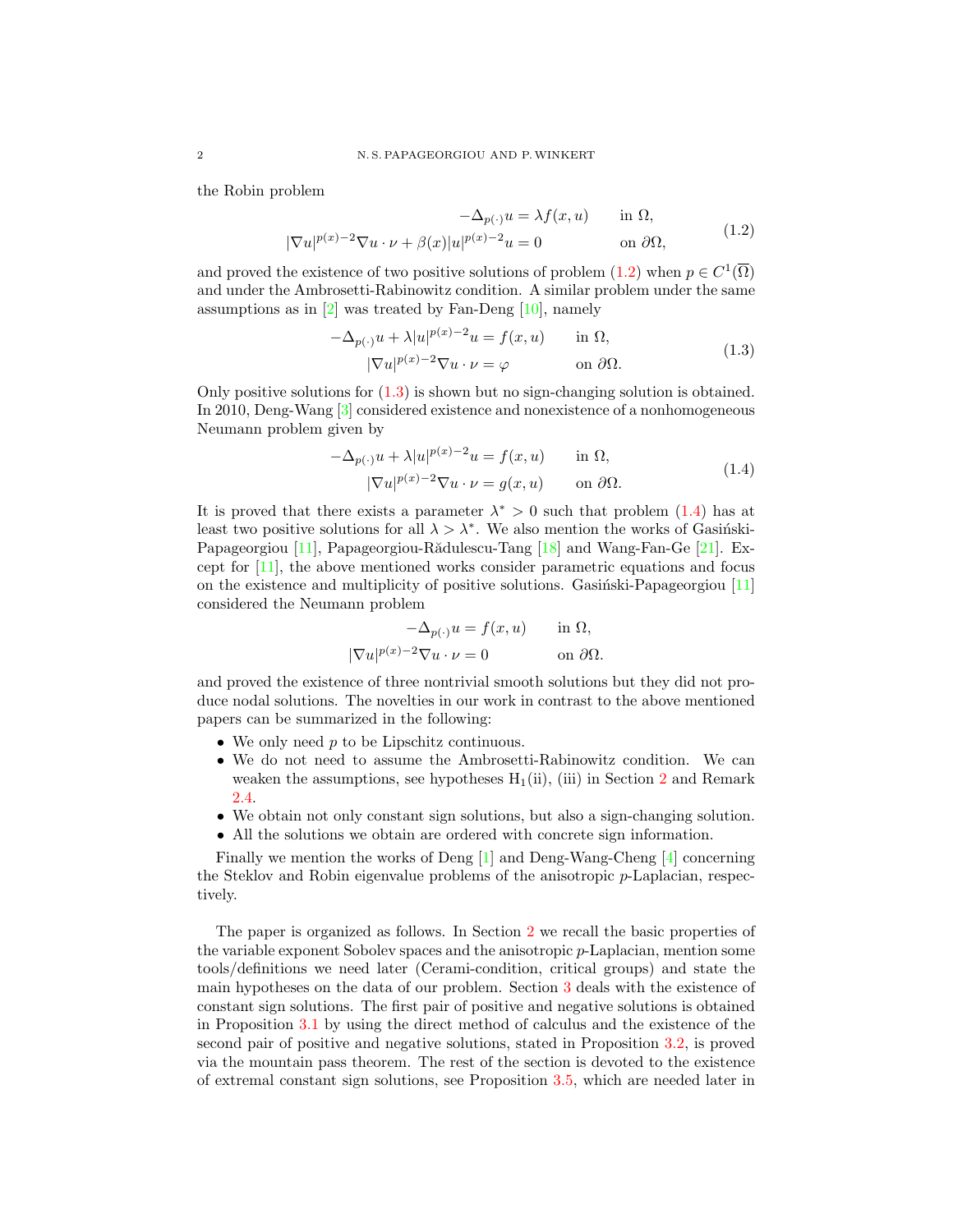the Robin problem

<span id="page-1-0"></span>
$$
-\Delta_{p(\cdot)} u = \lambda f(x, u) \quad \text{in } \Omega,
$$
  

$$
|\nabla u|^{p(x)-2} \nabla u \cdot \nu + \beta(x)|u|^{p(x)-2} u = 0 \quad \text{on } \partial\Omega,
$$
 (1.2)

and proved the existence of two positive solutions of problem  $(1.2)$  when  $p \in C^1(\overline{\Omega})$ and under the Ambrosetti-Rabinowitz condition. A similar problem under the same assumptions as in [\[2\]](#page-15-1) was treated by Fan-Deng [\[10\]](#page-16-1), namely

<span id="page-1-1"></span>
$$
-\Delta_{p(\cdot)}u + \lambda |u|^{p(x)-2}u = f(x, u) \quad \text{in } \Omega,
$$
  

$$
|\nabla u|^{p(x)-2}\nabla u \cdot \nu = \varphi \quad \text{on } \partial\Omega.
$$
 (1.3)

Only positive solutions for [\(1.3\)](#page-1-1) is shown but no sign-changing solution is obtained. In 2010, Deng-Wang [\[3\]](#page-15-2) considered existence and nonexistence of a nonhomogeneous Neumann problem given by

<span id="page-1-2"></span>
$$
-\Delta_{p(\cdot)}u + \lambda |u|^{p(x)-2}u = f(x, u) \quad \text{in } \Omega,
$$
  

$$
|\nabla u|^{p(x)-2}\nabla u \cdot \nu = g(x, u) \quad \text{on } \partial\Omega.
$$
 (1.4)

It is proved that there exists a parameter  $\lambda^* > 0$  such that problem  $(1.4)$  has at least two positive solutions for all  $\lambda > \lambda^*$ . We also mention the works of Gasinski-Papageorgiou [\[11\]](#page-16-2), Papageorgiou-Rădulescu-Tang [\[18\]](#page-16-3) and Wang-Fan-Ge [\[21\]](#page-16-4). Except for [\[11\]](#page-16-2), the above mentioned works consider parametric equations and focus on the existence and multiplicity of positive solutions. Gasingsilarly-Papageorgiou  $[11]$ considered the Neumann problem

$$
-\Delta_{p(\cdot)}u = f(x, u) \quad \text{in } \Omega,
$$
  

$$
|\nabla u|^{p(x)-2}\nabla u \cdot \nu = 0 \quad \text{on } \partial\Omega.
$$

and proved the existence of three nontrivial smooth solutions but they did not produce nodal solutions. The novelties in our work in contrast to the above mentioned papers can be summarized in the following:

- We only need  $p$  to be Lipschitz continuous.
- We do not need to assume the Ambrosetti-Rabinowitz condition. We can weaken the assumptions, see hypotheses  $H_1(ii)$ , (iii) in Section [2](#page-2-0) and Remark [2.4.](#page-6-0)
- We obtain not only constant sign solutions, but also a sign-changing solution.
- All the solutions we obtain are ordered with concrete sign information.

Finally we mention the works of Deng [\[1\]](#page-15-3) and Deng-Wang-Cheng [\[4\]](#page-15-4) concerning the Steklov and Robin eigenvalue problems of the anisotropic p-Laplacian, respectively.

The paper is organized as follows. In Section [2](#page-2-0) we recall the basic properties of the variable exponent Sobolev spaces and the anisotropic  $p$ -Laplacian, mention some tools/definitions we need later (Cerami-condition, critical groups) and state the main hypotheses on the data of our problem. Section [3](#page-6-1) deals with the existence of constant sign solutions. The first pair of positive and negative solutions is obtained in Proposition [3.1](#page-6-2) by using the direct method of calculus and the existence of the second pair of positive and negative solutions, stated in Proposition [3.2,](#page-8-0) is proved via the mountain pass theorem. The rest of the section is devoted to the existence of extremal constant sign solutions, see Proposition [3.5,](#page-13-0) which are needed later in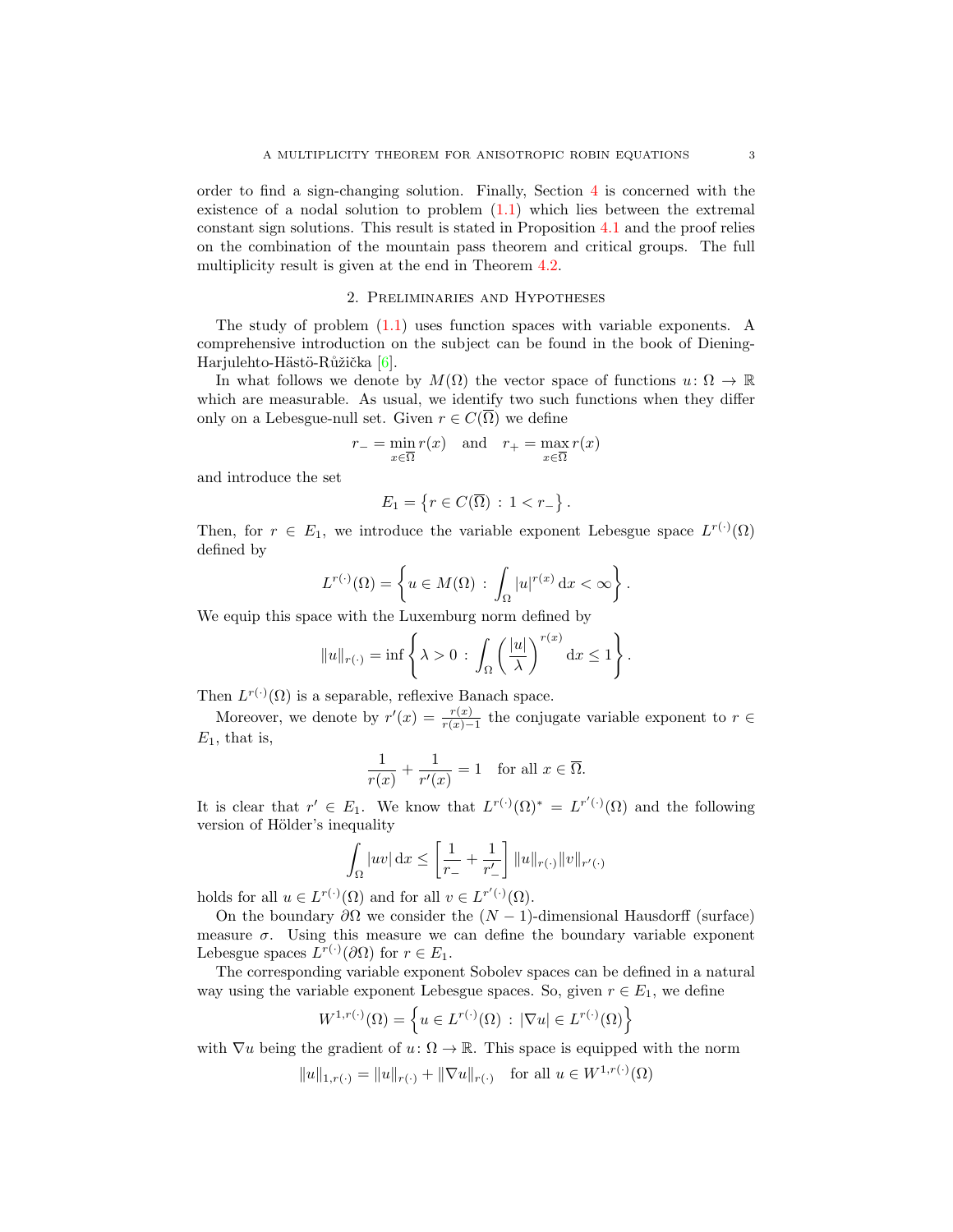order to find a sign-changing solution. Finally, Section  $4$  is concerned with the existence of a nodal solution to problem [\(1.1\)](#page-0-0) which lies between the extremal constant sign solutions. This result is stated in Proposition [4.1](#page-14-0) and the proof relies on the combination of the mountain pass theorem and critical groups. The full multiplicity result is given at the end in Theorem [4.2.](#page-15-5)

# 2. Preliminaries and Hypotheses

<span id="page-2-0"></span>The study of problem  $(1.1)$  uses function spaces with variable exponents. A comprehensive introduction on the subject can be found in the book of Diening-Harjulehto-Hästö-Růžička [\[6\]](#page-15-0).

In what follows we denote by  $M(\Omega)$  the vector space of functions  $u: \Omega \to \mathbb{R}$ which are measurable. As usual, we identify two such functions when they differ only on a Lebesgue-null set. Given  $r \in C(\overline{\Omega})$  we define

$$
r_{-} = \min_{x \in \overline{\Omega}} r(x) \quad \text{and} \quad r_{+} = \max_{x \in \overline{\Omega}} r(x)
$$

and introduce the set

$$
E_1 = \left\{ r \in C(\overline{\Omega}) \, : \, 1 < r_- \right\}.
$$

Then, for  $r \in E_1$ , we introduce the variable exponent Lebesgue space  $L^{r(\cdot)}(\Omega)$ defined by

$$
L^{r(\cdot)}(\Omega) = \left\{ u \in M(\Omega) \, : \, \int_{\Omega} |u|^{r(x)} \, \mathrm{d}x < \infty \right\}.
$$

We equip this space with the Luxemburg norm defined by

$$
||u||_{r(\cdot)} = \inf \left\{ \lambda > 0 \, : \, \int_{\Omega} \left( \frac{|u|}{\lambda} \right)^{r(x)} dx \le 1 \right\}.
$$

Then  $L^{r(\cdot)}(\Omega)$  is a separable, reflexive Banach space.

Moreover, we denote by  $r'(x) = \frac{r(x)}{r(x)-1}$  the conjugate variable exponent to  $r \in$  $E_1$ , that is,

$$
\frac{1}{r(x)} + \frac{1}{r'(x)} = 1 \quad \text{for all } x \in \overline{\Omega}.
$$

It is clear that  $r' \in E_1$ . We know that  $L^{r(\cdot)}(\Omega)^* = L^{r'(\cdot)}(\Omega)$  and the following version of Hölder's inequality

$$
\int_{\Omega} |uv| \, \mathrm{d}x \le \left[ \frac{1}{r_{-}} + \frac{1}{r'_{-}} \right] ||u||_{r(\cdot)} ||v||_{r'(\cdot)}
$$

holds for all  $u \in L^{r(\cdot)}(\Omega)$  and for all  $v \in L^{r'(\cdot)}(\Omega)$ .

On the boundary  $\partial\Omega$  we consider the  $(N-1)$ -dimensional Hausdorff (surface) measure  $\sigma$ . Using this measure we can define the boundary variable exponent Lebesgue spaces  $L^{r(\cdot)}(\partial\Omega)$  for  $r \in E_1$ .

The corresponding variable exponent Sobolev spaces can be defined in a natural way using the variable exponent Lebesgue spaces. So, given  $r \in E_1$ , we define

$$
W^{1,r(\cdot)}(\Omega) = \left\{ u \in L^{r(\cdot)}(\Omega) \, : \, |\nabla u| \in L^{r(\cdot)}(\Omega) \right\}
$$

with  $\nabla u$  being the gradient of  $u: \Omega \to \mathbb{R}$ . This space is equipped with the norm

$$
||u||_{1,r(\cdot)} = ||u||_{r(\cdot)} + ||\nabla u||_{r(\cdot)} \text{ for all } u \in W^{1,r(\cdot)}(\Omega)
$$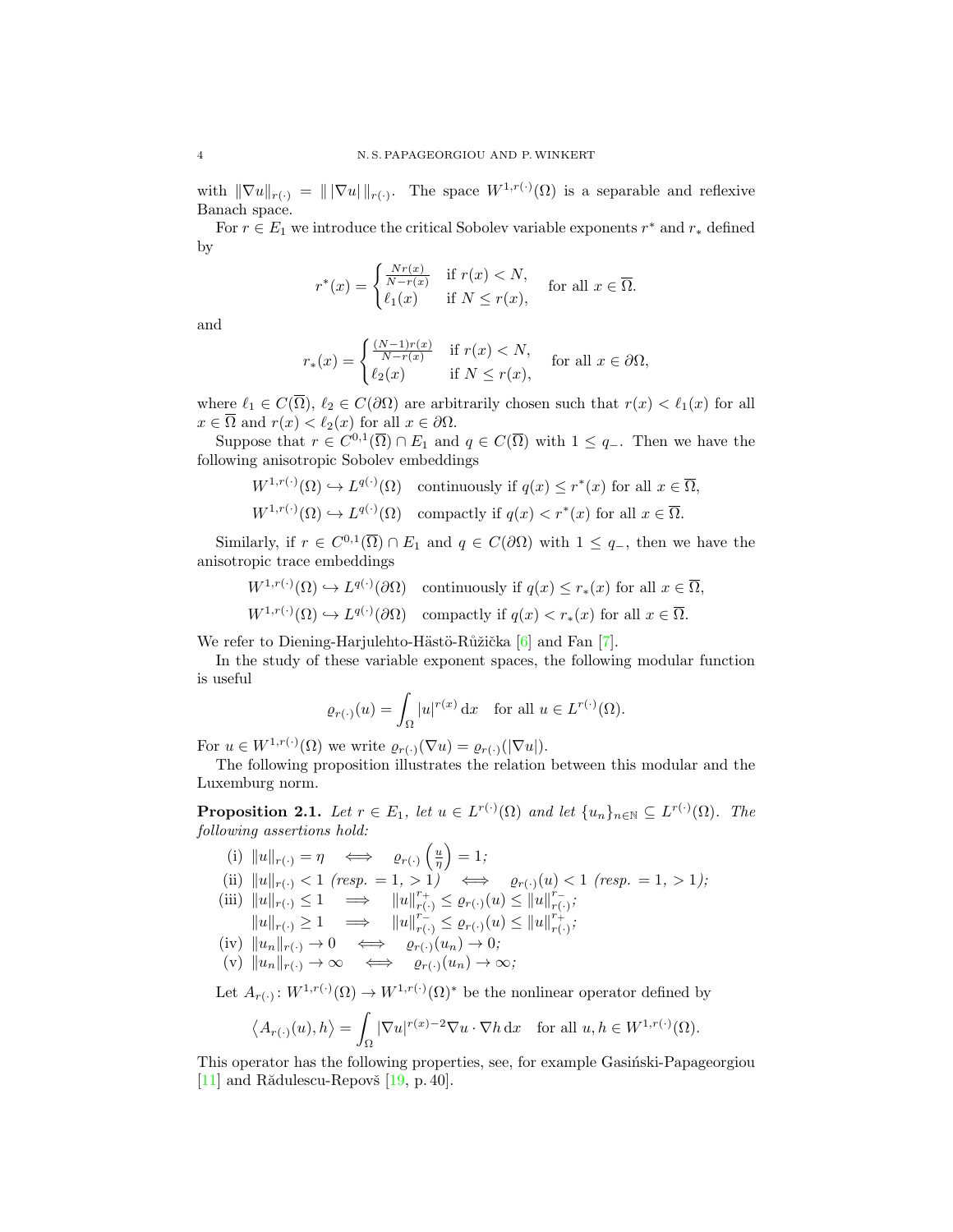with  $\|\nabla u\|_{r(\cdot)} = \| |\nabla u| \|_{r(\cdot)}$ . The space  $W^{1,r(\cdot)}(\Omega)$  is a separable and reflexive Banach space.

For  $r \in E_1$  we introduce the critical Sobolev variable exponents  $r^*$  and  $r_*$  defined by

$$
r^*(x) = \begin{cases} \frac{Nr(x)}{N-r(x)} & \text{if } r(x) < N, \\ \ell_1(x) & \text{if } N \le r(x), \end{cases}
$$
 for all  $x \in \overline{\Omega}$ .

and

$$
r_*(x) = \begin{cases} \frac{(N-1)r(x)}{N-r(x)} & \text{if } r(x) < N, \\ \ell_2(x) & \text{if } N \le r(x), \end{cases}
$$
 for all  $x \in \partial\Omega$ ,

where  $\ell_1 \in C(\overline{\Omega})$ ,  $\ell_2 \in C(\partial \Omega)$  are arbitrarily chosen such that  $r(x) < \ell_1(x)$  for all  $x \in \overline{\Omega}$  and  $r(x) < \ell_2(x)$  for all  $x \in \partial\Omega$ .

Suppose that  $r \in C^{0,1}(\overline{\Omega}) \cap E_1$  and  $q \in C(\overline{\Omega})$  with  $1 \leq q_{-}$ . Then we have the following anisotropic Sobolev embeddings

$$
W^{1,r(\cdot)}(\Omega) \hookrightarrow L^{q(\cdot)}(\Omega) \quad \text{continuously if } q(x) \le r^*(x) \text{ for all } x \in \overline{\Omega},
$$

$$
W^{1,r(\cdot)}(\Omega) \hookrightarrow L^{q(\cdot)}(\Omega) \quad \text{compactly if } q(x) < r^*(x) \text{ for all } x \in \overline{\Omega}.
$$

Similarly, if  $r \in C^{0,1}(\overline{\Omega}) \cap E_1$  and  $q \in C(\partial \Omega)$  with  $1 \leq q_-,$  then we have the anisotropic trace embeddings

$$
W^{1,r(\cdot)}(\Omega) \hookrightarrow L^{q(\cdot)}(\partial \Omega) \quad \text{continuously if } q(x) \le r_*(x) \text{ for all } x \in \overline{\Omega},
$$
  

$$
W^{1,r(\cdot)}(\Omega) \hookrightarrow L^{q(\cdot)}(\partial \Omega) \quad \text{comparly if } q(x) < r_*(x) \text{ for all } x \in \overline{\Omega}.
$$

We refer to Diening-Harjulehto-Hästö-Růžička [\[6\]](#page-15-0) and Fan [\[7\]](#page-16-5).

In the study of these variable exponent spaces, the following modular function is useful

$$
\varrho_{r(\cdot)}(u) = \int_{\Omega} |u|^{r(x)} \, \mathrm{d}x \quad \text{for all } u \in L^{r(\cdot)}(\Omega).
$$

For  $u \in W^{1,r(\cdot)}(\Omega)$  we write  $\varrho_{r(\cdot)}(\nabla u) = \varrho_{r(\cdot)}(|\nabla u|)$ .

The following proposition illustrates the relation between this modular and the Luxemburg norm.

<span id="page-3-0"></span>**Proposition 2.1.** Let  $r \in E_1$ , let  $u \in L^{r(\cdot)}(\Omega)$  and let  $\{u_n\}_{n \in \mathbb{N}} \subseteq L^{r(\cdot)}(\Omega)$ . The following assertions hold:

(i) 
$$
||u||_{r(\cdot)} = \eta \iff \varrho_{r(\cdot)}\left(\frac{u}{\eta}\right) = 1;
$$
\n(ii)  $||u||_{r(\cdot)} < 1$  (resp. = 1, > 1)  $\iff \varrho_{r(\cdot)}(u) < 1$  (resp. = 1, > 1); \n(iii)  $||u||_{r(\cdot)} \leq 1 \implies ||u||_{r(\cdot)}^{r+1} \leq \varrho_{r(\cdot)}(u) \leq ||u||_{r(\cdot)}^{r-1};$ \n $||u||_{r(\cdot)} \geq 1 \implies ||u||_{r(\cdot)}^{r-1} \leq \varrho_{r(\cdot)}(u) \leq ||u||_{r(\cdot)}^{r+1};$ \n(iv)  $||u_n||_{r(\cdot)} \to 0 \iff \varrho_{r(\cdot)}(u_n) \to 0;$ \n(v)  $||u_n||_{r(\cdot)} \to \infty \iff \varrho_{r(\cdot)}(u_n) \to \infty;$ \nLet  $A \leftrightarrow W^{1,r(\cdot)}(0) \to W^{1,r(\cdot)}(0)^*$  be the nonlinear operator defined by

Let  $A_{r(\cdot)}: W^{1,r(\cdot)}(\Omega) \to W^{1,r(\cdot)}$ (Ω)<sup>∗</sup> be the nonlinear operator defined by

$$
\left\langle A_{r(\cdot)}(u), h \right\rangle = \int_{\Omega} |\nabla u|^{r(x)-2} \nabla u \cdot \nabla h \, \mathrm{d}x \quad \text{for all } u, h \in W^{1, r(\cdot)}(\Omega).
$$

This operator has the following properties, see, for example Gasingsi-Papageorgiou [\[11\]](#page-16-2) and Rădulescu-Repovš  $[19, p. 40]$  $[19, p. 40]$ .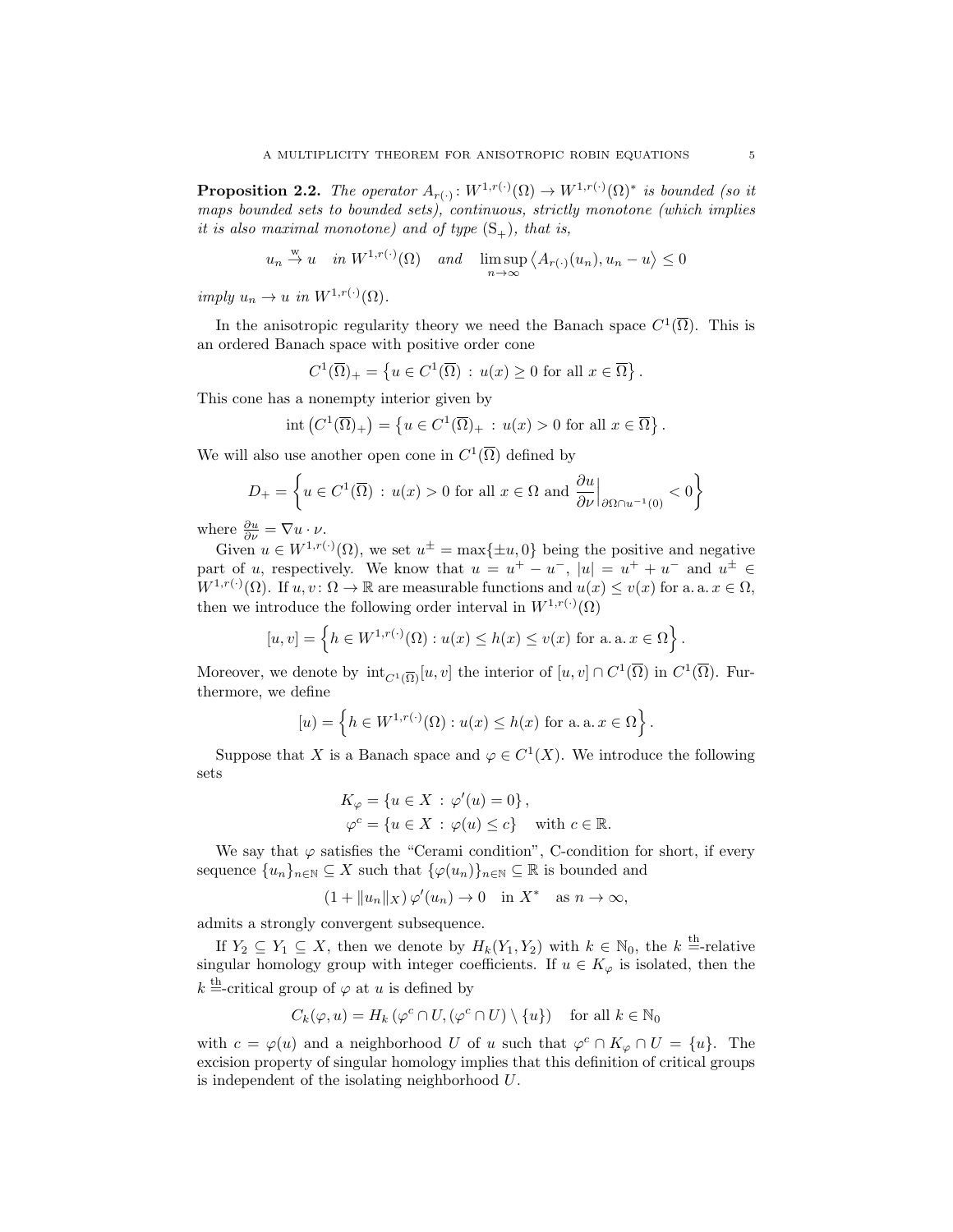<span id="page-4-0"></span>**Proposition 2.2.** The operator  $A_{r(\cdot)}: W^{1,r(\cdot)}(\Omega) \to W^{1,r(\cdot)}(\Omega)^*$  is bounded (so it maps bounded sets to bounded sets), continuous, strictly monotone (which implies it is also maximal monotone) and of type  $(S_+)$ , that is,

$$
u_n \stackrel{w}{\to} u
$$
 in  $W^{1,r(\cdot)}(\Omega)$  and  $\limsup_{n \to \infty} \langle A_{r(\cdot)}(u_n), u_n - u \rangle \leq 0$ 

imply  $u_n \to u$  in  $W^{1,r(\cdot)}(\Omega)$ .

In the anisotropic regularity theory we need the Banach space  $C^1(\overline{\Omega})$ . This is an ordered Banach space with positive order cone

$$
C^{1}(\overline{\Omega})_{+} = \left\{ u \in C^{1}(\overline{\Omega}) : u(x) \ge 0 \text{ for all } x \in \overline{\Omega} \right\}.
$$

This cone has a nonempty interior given by

$$
int (C^{1}(\overline{\Omega})_{+}) = \left\{ u \in C^{1}(\overline{\Omega})_{+} : u(x) > 0 \text{ for all } x \in \overline{\Omega} \right\}.
$$

We will also use another open cone in  $C^1(\overline{\Omega})$  defined by

$$
D_{+} = \left\{ u \in C^{1}(\overline{\Omega}) : u(x) > 0 \text{ for all } x \in \Omega \text{ and } \frac{\partial u}{\partial \nu} \Big|_{\partial \Omega \cap u^{-1}(0)} < 0 \right\}
$$

where  $\frac{\partial u}{\partial \nu} = \nabla u \cdot \nu$ .

Given  $u \in W^{1,r(\cdot)}(\Omega)$ , we set  $u^{\pm} = \max\{\pm u, 0\}$  being the positive and negative part of u, respectively. We know that  $u = u^+ - u^-$ ,  $|u| = u^+ + u^-$  and  $u^{\pm} \in$  $W^{1,r(\cdot)}(\Omega)$ . If  $u, v \colon \Omega \to \mathbb{R}$  are measurable functions and  $u(x) \le v(x)$  for a. a.  $x \in \Omega$ , then we introduce the following order interval in  $W^{1,r(\cdot)}(\Omega)$ 

$$
[u, v] = \left\{ h \in W^{1, r(\cdot)}(\Omega) : u(x) \le h(x) \le v(x) \text{ for a.a. } x \in \Omega \right\}.
$$

Moreover, we denote by  $\mathrm{int}_{C^1(\overline{\Omega})}[u, v]$  the interior of  $[u, v] \cap C^1(\overline{\Omega})$  in  $C^1(\overline{\Omega})$ . Furthermore, we define

$$
[u] = \left\{ h \in W^{1,r(\cdot)}(\Omega) : u(x) \le h(x) \text{ for a. a. } x \in \Omega \right\}.
$$

Suppose that X is a Banach space and  $\varphi \in C^1(X)$ . We introduce the following sets

$$
K_{\varphi} = \{ u \in X : \varphi'(u) = 0 \},
$$
  

$$
\varphi^{c} = \{ u \in X : \varphi(u) \le c \} \quad \text{with } c \in \mathbb{R}.
$$

We say that  $\varphi$  satisfies the "Cerami condition", C-condition for short, if every sequence  $\{u_n\}_{n\in\mathbb{N}}\subseteq X$  such that  $\{\varphi(u_n)\}_{n\in\mathbb{N}}\subseteq \mathbb{R}$  is bounded and

$$
(1 + \|u_n\|_X) \varphi'(u_n) \to 0 \quad \text{in } X^* \quad \text{as } n \to \infty,
$$

admits a strongly convergent subsequence.

If  $Y_2 \subseteq Y_1 \subseteq X$ , then we denote by  $H_k(Y_1, Y_2)$  with  $k \in \mathbb{N}_0$ , the  $k =$ -relative singular homology group with integer coefficients. If  $u \in K_{\varphi}$  is isolated, then the  $k \stackrel{\text{th}}{=}$ -critical group of  $\varphi$  at u is defined by

$$
C_k(\varphi, u) = H_k(\varphi^c \cap U, (\varphi^c \cap U) \setminus \{u\}) \quad \text{for all } k \in \mathbb{N}_0
$$

with  $c = \varphi(u)$  and a neighborhood U of u such that  $\varphi^c \cap K_{\varphi} \cap U = \{u\}$ . The excision property of singular homology implies that this definition of critical groups is independent of the isolating neighborhood U.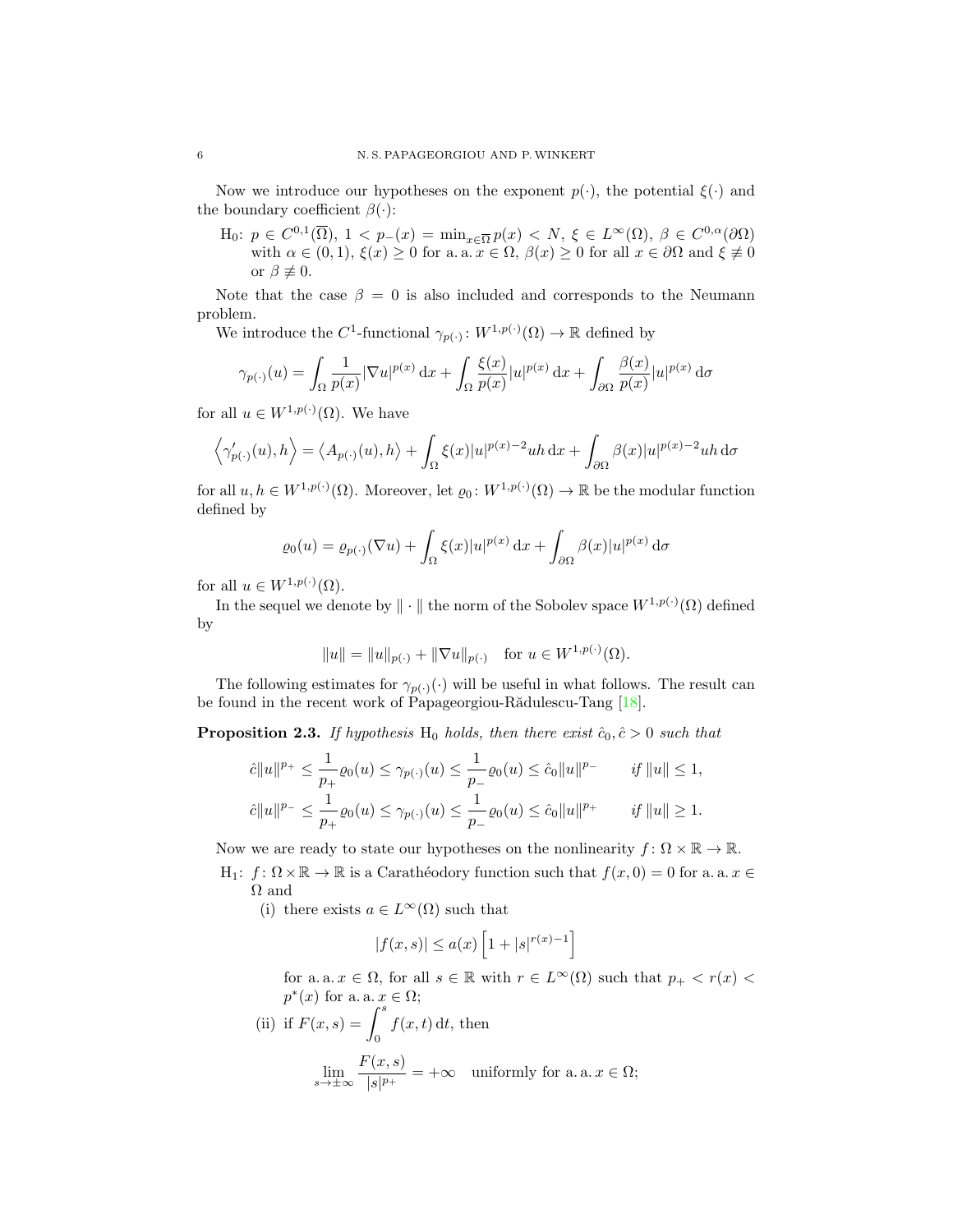Now we introduce our hypotheses on the exponent  $p(\cdot)$ , the potential  $\xi(\cdot)$  and the boundary coefficient  $\beta(\cdot)$ :

H<sub>0</sub>:  $p \in C^{0,1}(\overline{\Omega}), 1 < p_-(x) = \min_{x \in \overline{\Omega}} p(x) < N, \xi \in L^{\infty}(\Omega), \beta \in C^{0,\alpha}(\partial \Omega)$ with  $\alpha \in (0,1)$ ,  $\xi(x) \geq 0$  for a. a.  $x \in \Omega$ ,  $\beta(x) \geq 0$  for all  $x \in \partial\Omega$  and  $\xi \not\equiv 0$ or  $\beta \not\equiv 0$ .

Note that the case  $\beta = 0$  is also included and corresponds to the Neumann problem.

We introduce the C<sup>1</sup>-functional  $\gamma_{p(\cdot)}: W^{1,p(\cdot)}(\Omega) \to \mathbb{R}$  defined by

$$
\gamma_{p(\cdot)}(u) = \int_{\Omega} \frac{1}{p(x)} |\nabla u|^{p(x)} \, \mathrm{d}x + \int_{\Omega} \frac{\xi(x)}{p(x)} |u|^{p(x)} \, \mathrm{d}x + \int_{\partial \Omega} \frac{\beta(x)}{p(x)} |u|^{p(x)} \, \mathrm{d}\sigma
$$

for all  $u \in W^{1,p(\cdot)}(\Omega)$ . We have

$$
\left\langle \gamma'_{p(\cdot)}(u), h \right\rangle = \left\langle A_{p(\cdot)}(u), h \right\rangle + \int_{\Omega} \xi(x) |u|^{p(x)-2} uh \, dx + \int_{\partial \Omega} \beta(x) |u|^{p(x)-2} uh \, d\sigma
$$

for all  $u, h \in W^{1,p(\cdot)}(\Omega)$ . Moreover, let  $\varrho_0: W^{1,p(\cdot)}(\Omega) \to \mathbb{R}$  be the modular function defined by

$$
\varrho_0(u) = \varrho_{p(\cdot)}(\nabla u) + \int_{\Omega} \xi(x)|u|^{p(x)} dx + \int_{\partial\Omega} \beta(x)|u|^{p(x)} d\sigma
$$

for all  $u \in W^{1,p(\cdot)}(\Omega)$ .

In the sequel we denote by  $\|\cdot\|$  the norm of the Sobolev space  $W^{1,p(\cdot)}(\Omega)$  defined by

$$
||u|| = ||u||_{p(\cdot)} + ||\nabla u||_{p(\cdot)}
$$
 for  $u \in W^{1,p(\cdot)}(\Omega)$ .

The following estimates for  $\gamma_{p(\cdot)}(\cdot)$  will be useful in what follows. The result can be found in the recent work of Papageorgiou-Rădulescu-Tang  $[18]$ .

<span id="page-5-0"></span>**Proposition 2.3.** If hypothesis H<sub>0</sub> holds, then there exist  $\hat{c}_0, \hat{c} > 0$  such that

$$
\begin{aligned}\n\hat{c}||u||^{p_{+}} &\leq \frac{1}{p_{+}}\varrho_{0}(u) \leq \gamma_{p(\cdot)}(u) \leq \frac{1}{p_{-}}\varrho_{0}(u) \leq \hat{c}_{0}||u||^{p_{-}} & \quad \text{if } ||u|| \leq 1, \\
\hat{c}||u||^{p_{-}} &\leq \frac{1}{p_{+}}\varrho_{0}(u) \leq \gamma_{p(\cdot)}(u) \leq \frac{1}{p_{-}}\varrho_{0}(u) \leq \hat{c}_{0}||u||^{p_{+}} & \quad \text{if } ||u|| \geq 1.\n\end{aligned}
$$

Now we are ready to state our hypotheses on the nonlinearity  $f: \Omega \times \mathbb{R} \to \mathbb{R}$ .

H<sub>1</sub>:  $f: \Omega \times \mathbb{R} \to \mathbb{R}$  is a Carathéodory function such that  $f(x, 0) = 0$  for a. a.  $x \in$  $\Omega$  and

(i) there exists  $a \in L^{\infty}(\Omega)$  such that

$$
|f(x, s)| \le a(x) \left[1 + |s|^{r(x)-1}\right]
$$

for a. a.  $x \in \Omega$ , for all  $s \in \mathbb{R}$  with  $r \in L^{\infty}(\Omega)$  such that  $p_{+} < r(x) <$  $p^*(x)$  for a. a.  $x \in \Omega$ ;

(ii) if 
$$
F(x, s) = \int_0^s f(x, t) dt
$$
, then  

$$
\lim_{s \to \pm \infty} \frac{F(x, s)}{|s|^{p_+}} = +\infty \quad \text{uniformly for a. a. } x \in \Omega;
$$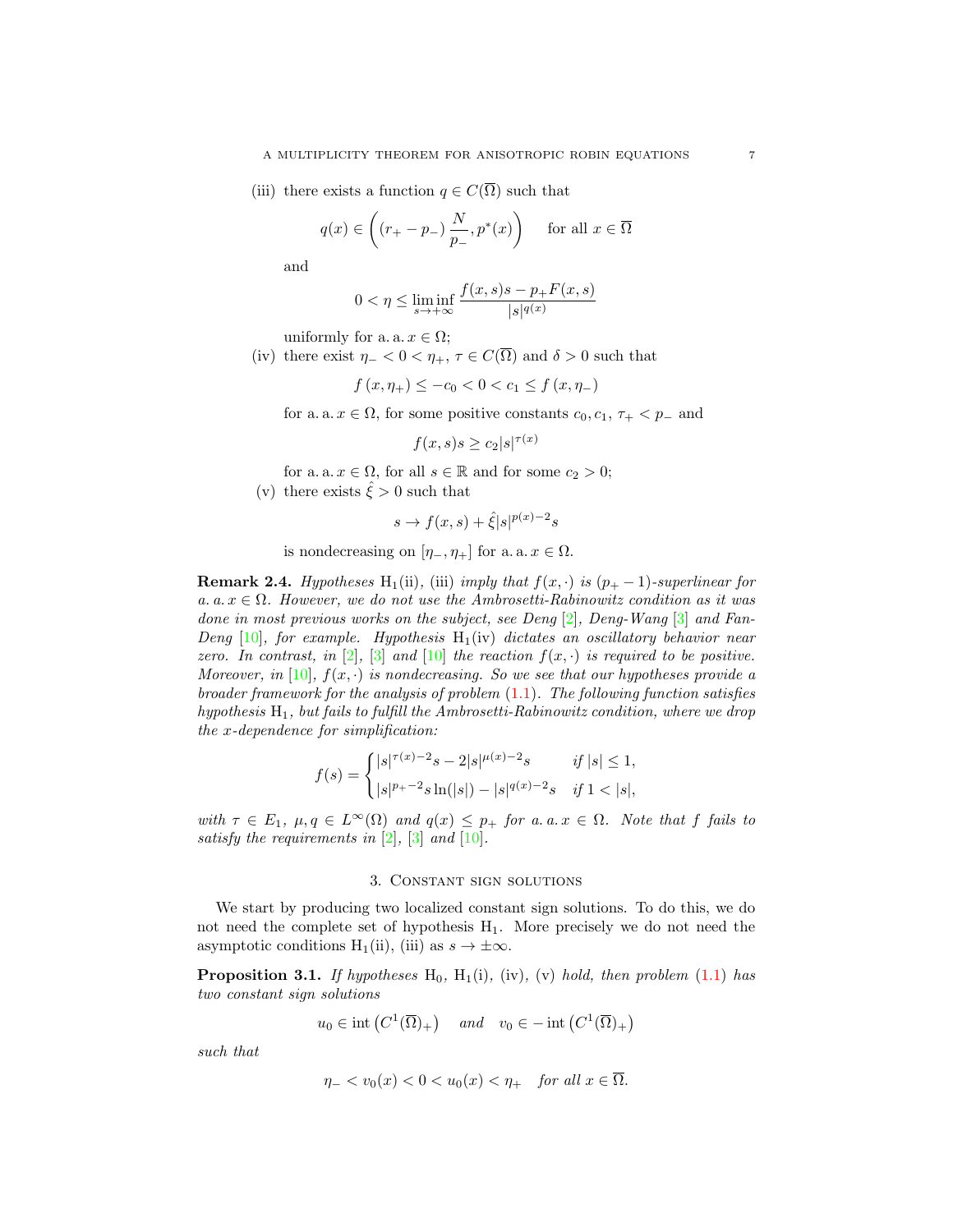(iii) there exists a function  $q \in C(\overline{\Omega})$  such that

$$
q(x) \in \left( (r_+ - p_-) \, \frac{N}{p_-}, p^*(x) \right) \quad \text{ for all } x \in \overline{\Omega}
$$

and

$$
0 < \eta \le \liminf_{s \to +\infty} \frac{f(x,s)s - p_+ F(x,s)}{|s|^{q(x)}}
$$

uniformly for a. a.  $x \in \Omega$ ;

(iv) there exist  $\eta_- < 0 < \eta_+$ ,  $\tau \in C(\overline{\Omega})$  and  $\delta > 0$  such that

$$
f(x, \eta_+) \le -c_0 < 0 < c_1 \le f(x, \eta_-)
$$

for a. a.  $x \in \Omega$ , for some positive constants  $c_0, c_1, \tau_+ < p_-\$  and

$$
f(x,s)s \ge c_2|s|^{\tau(x)}
$$

- for a. a.  $x \in \Omega$ , for all  $s \in \mathbb{R}$  and for some  $c_2 > 0$ ;
- (v) there exists  $\xi > 0$  such that

$$
s \to f(x, s) + \hat{\xi}|s|^{p(x)-2}s
$$

is nondecreasing on  $[\eta_-, \eta_+]$  for a. a.  $x \in \Omega$ .

<span id="page-6-0"></span>**Remark 2.4.** Hypotheses H<sub>1</sub>(ii), (iii) imply that  $f(x, \cdot)$  is  $(p_{+} - 1)$ -superlinear for a. a.  $x \in \Omega$ . However, we do not use the Ambrosetti-Rabinowitz condition as it was done in most previous works on the subject, see Deng [\[2\]](#page-15-1), Deng-Wang [\[3\]](#page-15-2) and Fan-Deng  $[10]$ , for example. Hypothesis  $H_1(iv)$  dictates an oscillatory behavior near zero. In contrast, in [\[2\]](#page-15-1), [\[3\]](#page-15-2) and [\[10\]](#page-16-1) the reaction  $f(x, \cdot)$  is required to be positive. Moreover, in [\[10\]](#page-16-1),  $f(x, \cdot)$  is nondecreasing. So we see that our hypotheses provide a broader framework for the analysis of problem  $(1.1)$ . The following function satisfies hypothesis  $H_1$ , but fails to fulfill the Ambrosetti-Rabinowitz condition, where we drop the x-dependence for simplification:

$$
f(s) = \begin{cases} |s|^{\tau(x)-2}s - 2|s|^{\mu(x)-2}s & \text{if } |s| \le 1, \\ |s|^{p_{+}-2}s\ln(|s|) - |s|^{q(x)-2}s & \text{if } 1 < |s|, \end{cases}
$$

with  $\tau \in E_1$ ,  $\mu, q \in L^{\infty}(\Omega)$  and  $q(x) \leq p_+$  for a. a.  $x \in \Omega$ . Note that f fails to satisfy the requirements in [\[2\]](#page-15-1), [\[3\]](#page-15-2) and [\[10\]](#page-16-1).

## 3. Constant sign solutions

<span id="page-6-1"></span>We start by producing two localized constant sign solutions. To do this, we do not need the complete set of hypothesis  $H_1$ . More precisely we do not need the asymptotic conditions H<sub>1</sub>(ii), (iii) as  $s \to \pm \infty$ .

<span id="page-6-2"></span>**Proposition 3.1.** If hypotheses  $H_0$ ,  $H_1(i)$ , (iv), (v) hold, then problem [\(1.1\)](#page-0-0) has two constant sign solutions

$$
u_0 \in \text{int}\left(C^1(\overline{\Omega})_+\right) \quad \text{and} \quad v_0 \in -\text{int}\left(C^1(\overline{\Omega})_+\right)
$$

such that

$$
\eta_- < v_0(x) < 0 < u_0(x) < \eta_+ \quad \text{for all } x \in \overline{\Omega}.
$$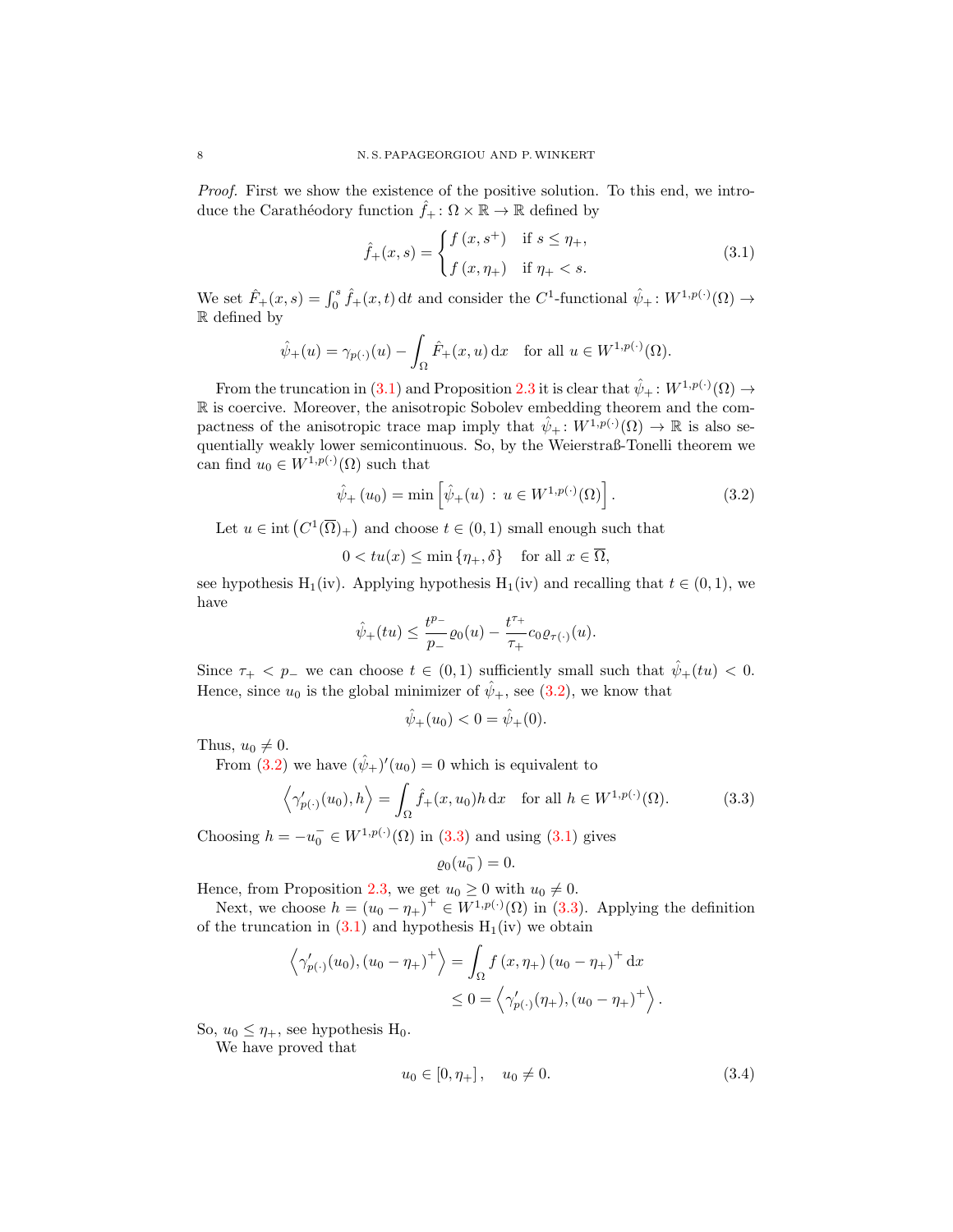Proof. First we show the existence of the positive solution. To this end, we introduce the Carathéodory function  $\hat{f}_+ : \Omega \times \mathbb{R} \to \mathbb{R}$  defined by

<span id="page-7-0"></span>
$$
\hat{f}_{+}(x,s) = \begin{cases} f(x,s^{+}) & \text{if } s \leq \eta_{+}, \\ f(x,\eta_{+}) & \text{if } \eta_{+} < s. \end{cases}
$$
\n(3.1)

We set  $\hat{F}_+(x,s) = \int_0^s \hat{f}_+(x,t) dt$  and consider the  $C^1$ -functional  $\hat{\psi}_+ : W^{1,p(\cdot)}(\Omega) \to$ R defined by

$$
\hat{\psi}_+(u) = \gamma_{p(\cdot)}(u) - \int_{\Omega} \hat{F}_+(x, u) \, dx \quad \text{for all } u \in W^{1, p(\cdot)}(\Omega).
$$

From the truncation in [\(3.1\)](#page-7-0) and Proposition [2.3](#page-5-0) it is clear that  $\hat{\psi}_+ : W^{1,p(\cdot)}(\Omega) \to$ R is coercive. Moreover, the anisotropic Sobolev embedding theorem and the compactness of the anisotropic trace map imply that  $\hat{\psi}_+ : W^{1,p(\cdot)}(\Omega) \to \mathbb{R}$  is also sequentially weakly lower semicontinuous. So, by the Weierstraß-Tonelli theorem we can find  $u_0 \in W^{1,p(\cdot)}(\Omega)$  such that

<span id="page-7-1"></span>
$$
\hat{\psi}_+(u_0) = \min\left[\hat{\psi}_+(u) : u \in W^{1,p(\cdot)}(\Omega)\right].
$$
\n(3.2)

Let  $u \in \text{int}(C^1(\overline{\Omega})_+)$  and choose  $t \in (0,1)$  small enough such that

 $0 < tu(x) \leq \min\{\eta_+, \delta\}$  for all  $x \in \overline{\Omega}$ ,

see hypothesis H<sub>1</sub>(iv). Applying hypothesis H<sub>1</sub>(iv) and recalling that  $t \in (0,1)$ , we have

$$
\hat{\psi}_+(tu)\leq \frac{t^{p_-}}{p_-}\varrho_0(u)-\frac{t^{\tau_+}}{\tau_+}c_0\varrho_{\tau(\cdot)}(u).
$$

Since  $\tau_+$  <  $p_-$  we can choose  $t \in (0,1)$  sufficiently small such that  $\hat{\psi}_+(tu)$  < 0. Hence, since  $u_0$  is the global minimizer of  $\hat{\psi}_+$ , see [\(3.2\)](#page-7-1), we know that

$$
\hat{\psi}_+(u_0) < 0 = \hat{\psi}_+(0).
$$

Thus,  $u_0 \neq 0$ .

From [\(3.2\)](#page-7-1) we have  $(\hat{\psi}_+)'(u_0) = 0$  which is equivalent to

$$
\left\langle \gamma'_{p(\cdot)}(u_0), h \right\rangle = \int_{\Omega} \hat{f}_+(x, u_0) h \, dx \quad \text{for all } h \in W^{1, p(\cdot)}(\Omega). \tag{3.3}
$$

Choosing  $h = -u_0^- \in W^{1,p(\cdot)}(\Omega)$  in [\(3.3\)](#page-7-2) and using [\(3.1\)](#page-7-0) gives

<span id="page-7-2"></span>
$$
\varrho_0(u_0^-) = 0.
$$

Hence, from Proposition [2.3,](#page-5-0) we get  $u_0 \ge 0$  with  $u_0 \ne 0$ .

Next, we choose  $h = (u_0 - \eta_+)^\dagger \in W^{1,p(\cdot)}(\Omega)$  in [\(3.3\)](#page-7-2). Applying the definition of the truncation in  $(3.1)$  and hypothesis  $H_1(iv)$  we obtain

$$
\left\langle \gamma'_{p(\cdot)}(u_0), (u_0 - \eta_+)^\dagger \right\rangle = \int_{\Omega} f(x, \eta_+) (u_0 - \eta_+)^\dagger dx
$$
  
 
$$
\leq 0 = \left\langle \gamma'_{p(\cdot)}(\eta_+), (u_0 - \eta_+)^\dagger \right\rangle.
$$

So,  $u_0 \leq \eta_+$ , see hypothesis H<sub>0</sub>.

We have proved that

<span id="page-7-3"></span>
$$
u_0 \in [0, \eta_+], \quad u_0 \neq 0. \tag{3.4}
$$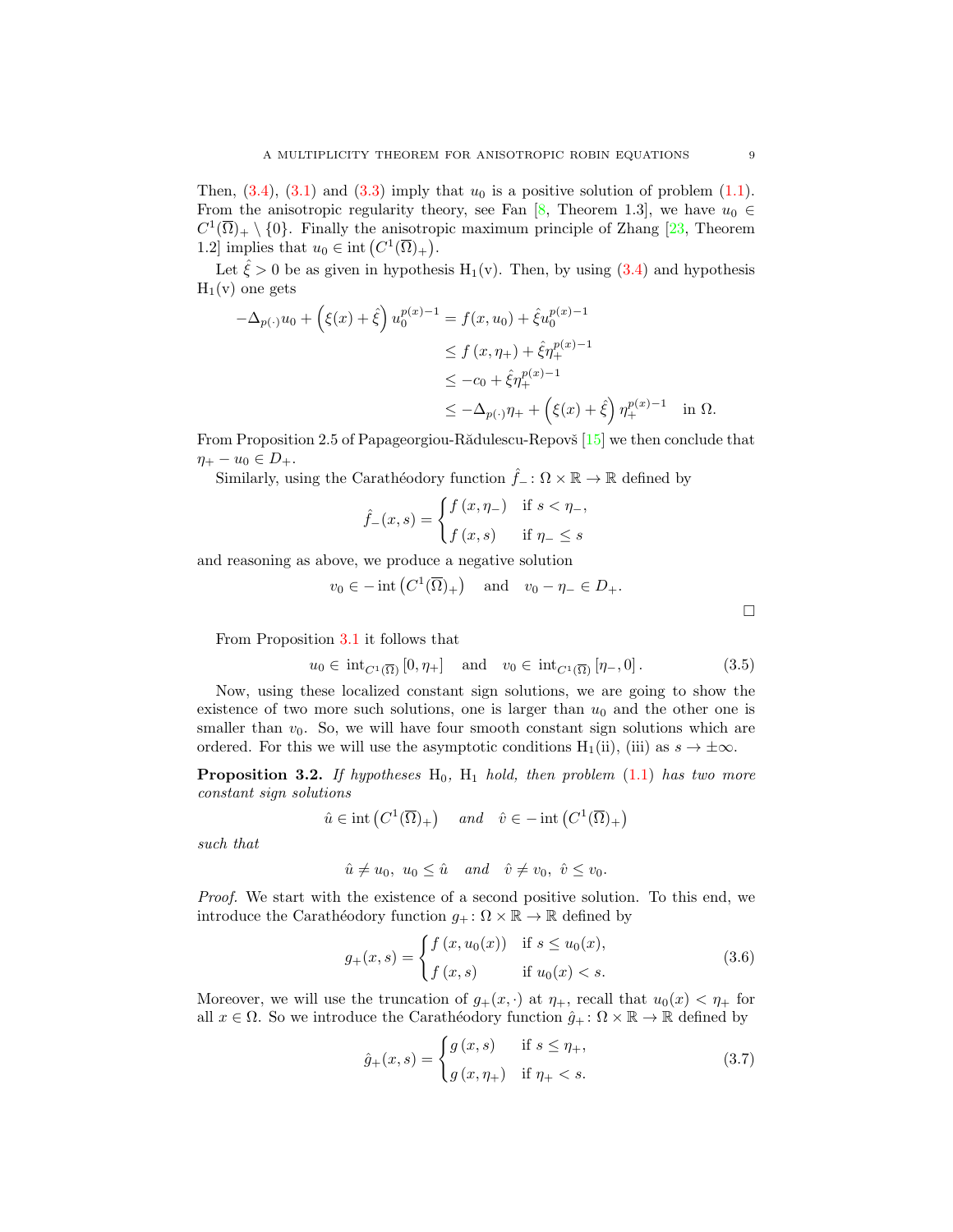Then,  $(3.4)$ ,  $(3.1)$  and  $(3.3)$  imply that  $u_0$  is a positive solution of problem  $(1.1)$ . From the anisotropic regularity theory, see Fan [\[8,](#page-16-6) Theorem 1.3], we have  $u_0 \in$  $C^1(\overline{\Omega})_+ \setminus \{0\}$ . Finally the anisotropic maximum principle of Zhang [\[23,](#page-16-7) Theorem 1.2] implies that  $u_0 \in \text{int}(C^1(\overline{\Omega})_+)$ .

Let  $\hat{\xi} > 0$  be as given in hypothesis H<sub>1</sub>(v). Then, by using [\(3.4\)](#page-7-3) and hypothesis  $H_1(v)$  one gets

$$
-\Delta_{p(\cdot)}u_0 + \left(\xi(x) + \hat{\xi}\right)u_0^{p(x)-1} = f(x, u_0) + \hat{\xi}u_0^{p(x)-1}
$$
  
\n
$$
\leq f(x, \eta_+) + \hat{\xi}\eta_+^{p(x)-1}
$$
  
\n
$$
\leq -c_0 + \hat{\xi}\eta_+^{p(x)-1}
$$
  
\n
$$
\leq -\Delta_{p(\cdot)}\eta_+ + \left(\xi(x) + \hat{\xi}\right)\eta_+^{p(x)-1} \quad \text{in } \Omega.
$$

From Proposition 2.5 of Papageorgiou-R $\ddot{\text{a}}$ dulescu-Repov $\check{\text{s}}$  [\[15\]](#page-16-8) we then conclude that  $\eta_+ - u_0 \in D_+.$ 

Similarly, using the Carathéodory function  $\hat{f}_- : \Omega \times \mathbb{R} \to \mathbb{R}$  defined by

$$
\hat{f}_{-}(x,s) = \begin{cases} f(x,\eta_{-}) & \text{if } s < \eta_{-}, \\ f(x,s) & \text{if } \eta_{-} \le s \end{cases}
$$

and reasoning as above, we produce a negative solution

$$
v_0 \in -\operatorname{int} (C^1(\overline{\Omega})_+)
$$
 and  $v_0 - \eta_- \in D_+.$ 

From Proposition [3.1](#page-6-2) it follows that

$$
u_0 \in \mathrm{int}_{C^1(\overline{\Omega})} [0, \eta_+] \quad \text{and} \quad v_0 \in \mathrm{int}_{C^1(\overline{\Omega})} [\eta_-, 0]. \tag{3.5}
$$

Now, using these localized constant sign solutions, we are going to show the existence of two more such solutions, one is larger than  $u_0$  and the other one is smaller than  $v_0$ . So, we will have four smooth constant sign solutions which are ordered. For this we will use the asymptotic conditions H<sub>1</sub>(ii), (iii) as  $s \to \pm \infty$ .

<span id="page-8-0"></span>**Proposition 3.2.** If hypotheses  $H_0$ ,  $H_1$  hold, then problem [\(1.1\)](#page-0-0) has two more constant sign solutions

$$
\hat{u} \in \text{int}\left(C^1(\overline{\Omega})_+\right) \quad \text{and} \quad \hat{v} \in -\text{int}\left(C^1(\overline{\Omega})_+\right)
$$

such that

$$
\hat{u} \neq u_0, \ u_0 \leq \hat{u} \quad and \quad \hat{v} \neq v_0, \ \hat{v} \leq v_0.
$$

Proof. We start with the existence of a second positive solution. To this end, we introduce the Carathéodory function  $g_+ : \Omega \times \mathbb{R} \to \mathbb{R}$  defined by

$$
g_{+}(x,s) = \begin{cases} f(x, u_{0}(x)) & \text{if } s \le u_{0}(x), \\ f(x,s) & \text{if } u_{0}(x) < s. \end{cases}
$$
 (3.6)

Moreover, we will use the truncation of  $g_+(x, \cdot)$  at  $\eta_+$ , recall that  $u_0(x) < \eta_+$  for all  $x \in \Omega$ . So we introduce the Carathéodory function  $\hat{g}_+ : \Omega \times \mathbb{R} \to \mathbb{R}$  defined by

<span id="page-8-2"></span>
$$
\hat{g}_{+}(x,s) = \begin{cases} g(x,s) & \text{if } s \leq \eta_{+}, \\ g(x,\eta_{+}) & \text{if } \eta_{+} < s. \end{cases}
$$
 (3.7)

<span id="page-8-3"></span><span id="page-8-1"></span> $\Box$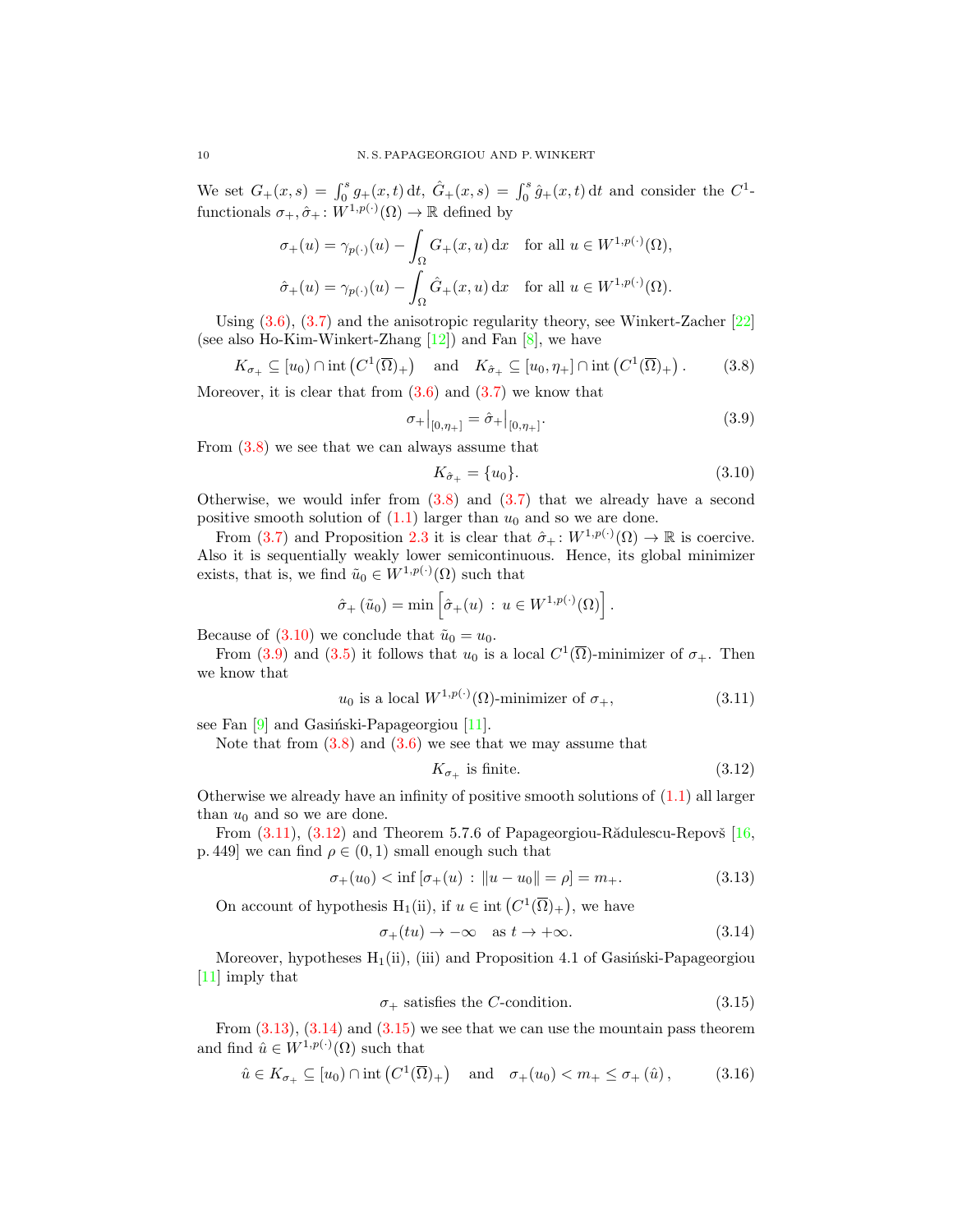We set  $G_+(x,s) = \int_0^s g_+(x,t) dt$ ,  $\hat{G}_+(x,s) = \int_0^s \hat{g}_+(x,t) dt$  and consider the  $C^1$ functionals  $\sigma_+, \hat{\sigma}_+ : W^{1,p(\cdot)}(\Omega) \to \mathbb{R}$  defined by

$$
\sigma_+(u) = \gamma_{p(\cdot)}(u) - \int_{\Omega} G_+(x, u) dx \quad \text{for all } u \in W^{1, p(\cdot)}(\Omega),
$$
  

$$
\hat{\sigma}_+(u) = \gamma_{p(\cdot)}(u) - \int_{\Omega} \hat{G}_+(x, u) dx \quad \text{for all } u \in W^{1, p(\cdot)}(\Omega).
$$

Using  $(3.6)$ ,  $(3.7)$  and the anisotropic regularity theory, see Winkert-Zacher  $[22]$ (see also Ho-Kim-Winkert-Zhang  $[12]$ ) and Fan  $[8]$ , we have

$$
K_{\sigma_+} \subseteq [u_0) \cap \text{int}\left(C^1(\overline{\Omega})_+\right) \quad \text{and} \quad K_{\hat{\sigma}_+} \subseteq [u_0, \eta_+] \cap \text{int}\left(C^1(\overline{\Omega})_+\right). \tag{3.8}
$$

Moreover, it is clear that from  $(3.6)$  and  $(3.7)$  we know that

$$
\sigma_{+}\big|_{[0,\eta_{+}]} = \hat{\sigma}_{+}\big|_{[0,\eta_{+}]}. \tag{3.9}
$$

From [\(3.8\)](#page-9-0) we see that we can always assume that

<span id="page-9-2"></span><span id="page-9-1"></span><span id="page-9-0"></span>
$$
K_{\hat{\sigma}_+} = \{u_0\}.\tag{3.10}
$$

Otherwise, we would infer from  $(3.8)$  and  $(3.7)$  that we already have a second positive smooth solution of  $(1.1)$  larger than  $u_0$  and so we are done.

From [\(3.7\)](#page-8-2) and Proposition [2.3](#page-5-0) it is clear that  $\hat{\sigma}_+ : W^{1,p(\cdot)}(\Omega) \to \mathbb{R}$  is coercive. Also it is sequentially weakly lower semicontinuous. Hence, its global minimizer exists, that is, we find  $\tilde{u}_0 \in W^{1,p(\cdot)}(\Omega)$  such that

$$
\hat{\sigma}_+(\tilde{u}_0)=\min\left[\hat{\sigma}_+(u)\,:\,u\in W^{1,p(\cdot)}(\Omega)\right].
$$

Because of  $(3.10)$  we conclude that  $\tilde{u}_0 = u_0$ .

From [\(3.9\)](#page-9-2) and [\(3.5\)](#page-8-3) it follows that  $u_0$  is a local  $C^1(\overline{\Omega})$ -minimizer of  $\sigma_+$ . Then we know that

$$
u_0 \text{ is a local } W^{1, p(\cdot)}(\Omega) \text{-minimizer of } \sigma_+, \tag{3.11}
$$

see Fan  $[9]$  and Gasiński-Papageorgiou  $[11]$ .

Note that from  $(3.8)$  and  $(3.6)$  we see that we may assume that

<span id="page-9-6"></span><span id="page-9-5"></span><span id="page-9-4"></span><span id="page-9-3"></span>
$$
K_{\sigma_+} \text{ is finite.} \tag{3.12}
$$

Otherwise we already have an infinity of positive smooth solutions of  $(1.1)$  all larger than  $u_0$  and so we are done.

From  $(3.11)$ ,  $(3.12)$  and Theorem 5.7.6 of Papageorgiou-R $\ddot{a}$ dulescu-Repov $\ddot{b}$  [\[16,](#page-16-12) p. 449] we can find  $\rho \in (0,1)$  small enough such that

$$
\sigma_+(u_0) < \inf \left[ \sigma_+(u) \, : \, \|u - u_0\| = \rho \right] = m_+ \tag{3.13}
$$

On account of hypothesis H<sub>1</sub>(ii), if  $u \in \text{int}(C^1(\overline{\Omega})_+)$ , we have

$$
\sigma_+(tu) \to -\infty \quad \text{as } t \to +\infty. \tag{3.14}
$$

Moreover, hypotheses  $H_1(ii)$ , (iii) and Proposition 4.1 of Gasinski-Papageorgiou [\[11\]](#page-16-2) imply that

<span id="page-9-8"></span><span id="page-9-7"></span>
$$
\sigma_{+} \text{ satisfies the } C\text{-condition.} \tag{3.15}
$$

From  $(3.13)$ ,  $(3.14)$  and  $(3.15)$  we see that we can use the mountain pass theorem and find  $\hat{u} \in W^{1,p(\cdot)}(\Omega)$  such that

$$
\hat{u} \in K_{\sigma_+} \subseteq [u_0) \cap \text{int}\left(C^1(\overline{\Omega})_+\right) \quad \text{and} \quad \sigma_+(u_0) < m_+ \leq \sigma_+(\hat{u}),\tag{3.16}
$$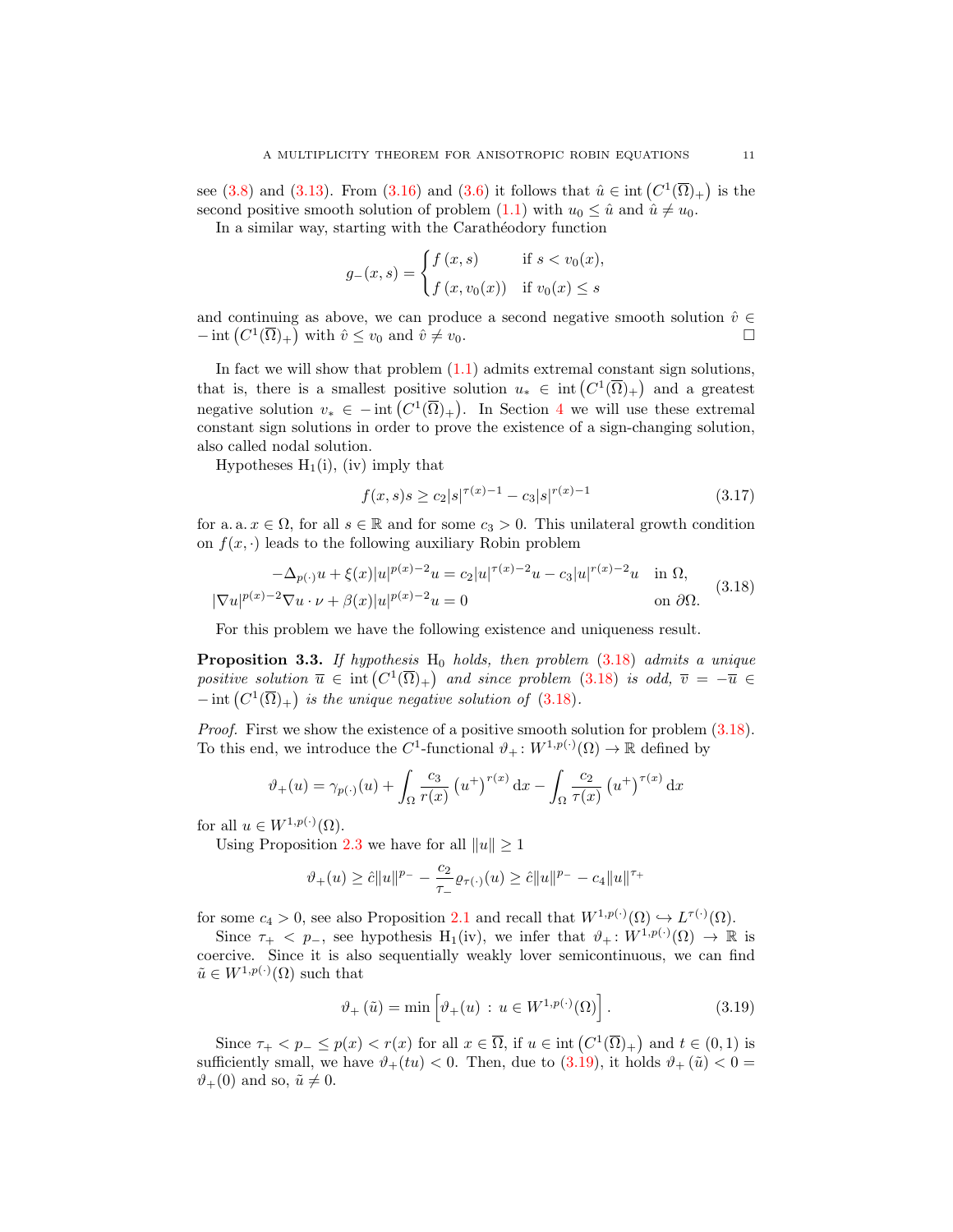see [\(3.8\)](#page-9-0) and [\(3.13\)](#page-9-5). From [\(3.16\)](#page-9-8) and [\(3.6\)](#page-8-1) it follows that  $\hat{u} \in \text{int}(C^1(\overline{\Omega})_+)$  is the second positive smooth solution of problem [\(1.1\)](#page-0-0) with  $u_0 \leq \hat{u}$  and  $\hat{u} \neq u_0$ .

In a similar way, starting with the Carathéodory function

$$
g_{-}(x,s) = \begin{cases} f(x,s) & \text{if } s < v_0(x), \\ f(x,v_0(x)) & \text{if } v_0(x) \le s \end{cases}
$$

and continuing as above, we can produce a second negative smooth solution  $\hat{v} \in$  $-\operatorname{int}\left(C^1(\overline{\Omega})_+\right)$  with  $\hat{v} \leq v_0$  and  $\hat{v} \neq v_0$ .

In fact we will show that problem  $(1.1)$  admits extremal constant sign solutions, that is, there is a smallest positive solution  $u_* \in \text{int}(C^1(\overline{\Omega})_+)$  and a greatest negative solution  $v_* \in -\text{int}(C^1(\overline{\Omega})_+)$ . In Section [4](#page-13-1) we will use these extremal constant sign solutions in order to prove the existence of a sign-changing solution, also called nodal solution.

Hypotheses  $H_1(i)$ , (iv) imply that

<span id="page-10-3"></span>
$$
f(x,s)s \ge c_2|s|^{\tau(x)-1} - c_3|s|^{\tau(x)-1} \tag{3.17}
$$

for a. a.  $x \in \Omega$ , for all  $s \in \mathbb{R}$  and for some  $c_3 > 0$ . This unilateral growth condition on  $f(x, \cdot)$  leads to the following auxiliary Robin problem

<span id="page-10-0"></span>
$$
-\Delta_{p(\cdot)}u + \xi(x)|u|^{p(x)-2}u = c_2|u|^{\tau(x)-2}u - c_3|u|^{\tau(x)-2}u \quad \text{in } \Omega,
$$
  

$$
|\nabla u|^{p(x)-2}\nabla u \cdot \nu + \beta(x)|u|^{p(x)-2}u = 0 \qquad \text{on } \partial\Omega.
$$
 (3.18)

For this problem we have the following existence and uniqueness result.

<span id="page-10-2"></span>**Proposition 3.3.** If hypothesis  $H_0$  holds, then problem  $(3.18)$  admits a unique positive solution  $\overline{u} \in \text{int}(C^1(\overline{\Omega})_+)$  and since problem [\(3.18\)](#page-10-0) is odd,  $\overline{v} = -\overline{u} \in$  $-$  int  $(C^1(\overline{\Omega})_+)$  is the unique negative solution of [\(3.18\)](#page-10-0).

*Proof.* First we show the existence of a positive smooth solution for problem  $(3.18)$ . To this end, we introduce the C<sup>1</sup>-functional  $\vartheta_+ : W^{1,p(\cdot)}(\Omega) \to \mathbb{R}$  defined by

$$
\vartheta_{+}(u) = \gamma_{p(\cdot)}(u) + \int_{\Omega} \frac{c_3}{r(x)} \left(u^{+}\right)^{r(x)} dx - \int_{\Omega} \frac{c_2}{\tau(x)} \left(u^{+}\right)^{\tau(x)} dx
$$

for all  $u \in W^{1,p(\cdot)}(\Omega)$ .

Using Proposition [2.3](#page-5-0) we have for all  $||u|| \ge 1$ 

$$
\vartheta_+(u)\geq \hat{c}\|u\|^{p_-}-\frac{c_2}{\tau_-}\varrho_{\tau(\cdot)}(u)\geq \hat{c}\|u\|^{p_-}-c_4\|u\|^{\tau_+}
$$

for some  $c_4 > 0$ , see also Proposition [2.1](#page-3-0) and recall that  $W^{1,p(\cdot)}(\Omega) \hookrightarrow L^{\tau(\cdot)}(\Omega)$ .

Since  $\tau_+$  < p<sub>-</sub>, see hypothesis H<sub>1</sub>(iv), we infer that  $\vartheta_+ : W^{1,p(\cdot)}(\Omega) \to \mathbb{R}$  is coercive. Since it is also sequentially weakly lover semicontinuous, we can find  $\tilde{u} \in W^{1,p(\cdot)}(\Omega)$  such that

<span id="page-10-1"></span>
$$
\vartheta_{+}\left(\tilde{u}\right) = \min\left[\vartheta_{+}(u) \, : \, u \in W^{1,p(\cdot)}(\Omega)\right].\tag{3.19}
$$

Since  $\tau_+ < p_- \leq p(x) < r(x)$  for all  $x \in \overline{\Omega}$ , if  $u \in \text{int}(C^1(\overline{\Omega})_+)$  and  $t \in (0,1)$  is sufficiently small, we have  $\vartheta_+(tu) < 0$ . Then, due to [\(3.19\)](#page-10-1), it holds  $\vartheta_+(\tilde{u}) < 0$  $\vartheta_+(0)$  and so,  $\tilde{u} \neq 0$ .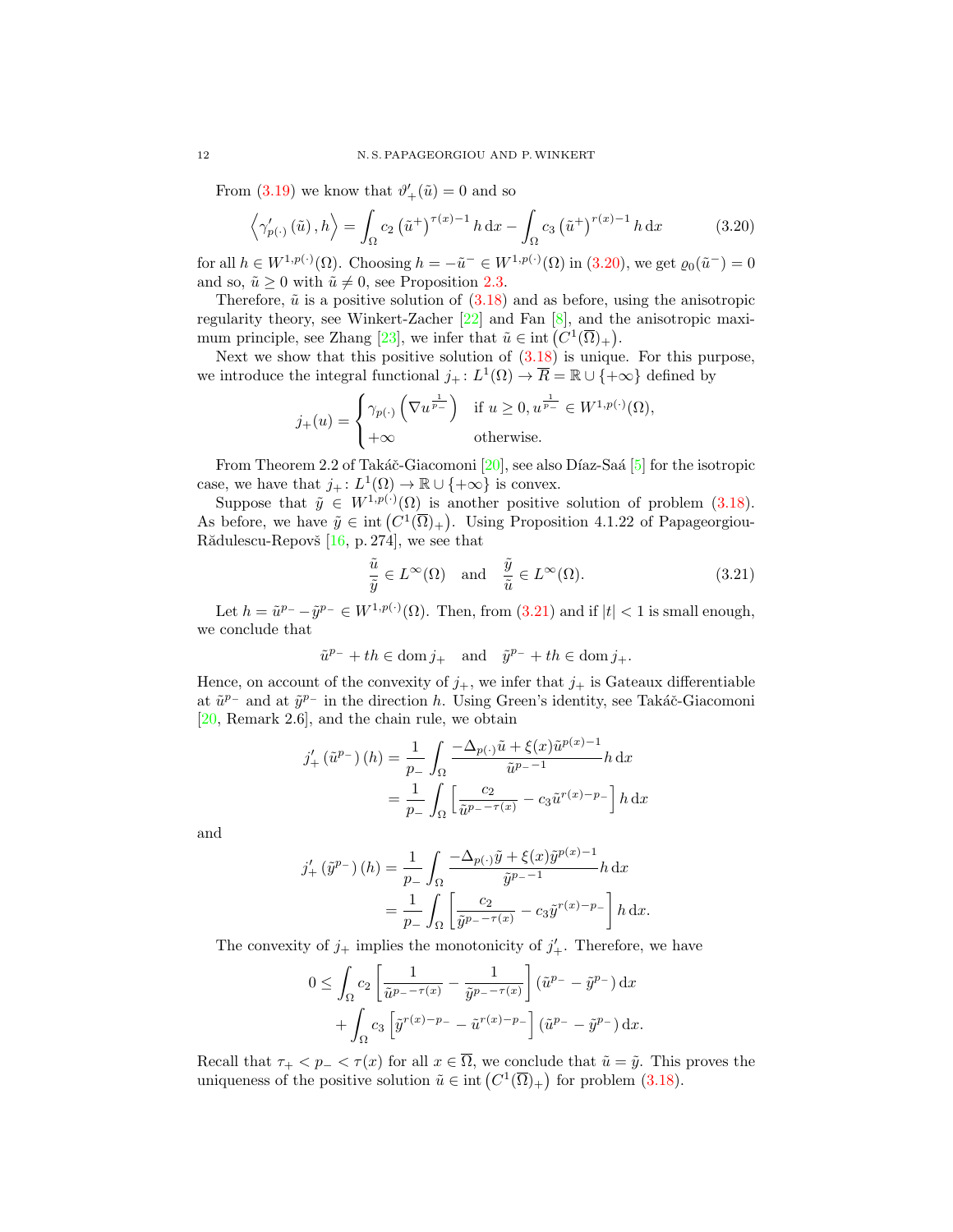From [\(3.19\)](#page-10-1) we know that  $\vartheta'_{+}(\tilde{u}) = 0$  and so

$$
\left\langle \gamma'_{p(\cdot)}\left(\tilde{u}\right), h \right\rangle = \int_{\Omega} c_2 \left(\tilde{u}^+\right)^{\tau(x)-1} h \, \mathrm{d}x - \int_{\Omega} c_3 \left(\tilde{u}^+\right)^{r(x)-1} h \, \mathrm{d}x \tag{3.20}
$$

for all  $h \in W^{1,p(\cdot)}(\Omega)$ . Choosing  $h = -\tilde{u}^- \in W^{1,p(\cdot)}(\Omega)$  in  $(3.20)$ , we get  $\varrho_0(\tilde{u}^-) = 0$ and so,  $\tilde{u} \ge 0$  with  $\tilde{u} \ne 0$ , see Proposition [2.3.](#page-5-0)

Therefore,  $\tilde{u}$  is a positive solution of  $(3.18)$  and as before, using the anisotropic regularity theory, see Winkert-Zacher [\[22\]](#page-16-9) and Fan [\[8\]](#page-16-6), and the anisotropic maxi-mum principle, see Zhang [\[23\]](#page-16-7), we infer that  $\tilde{u} \in \text{int}(C^1(\overline{\Omega})_+)$ .

Next we show that this positive solution of  $(3.18)$  is unique. For this purpose, we introduce the integral functional  $j_+ : L^1(\Omega) \to \overline{R} = \mathbb{R} \cup \{+\infty\}$  defined by

<span id="page-11-0"></span>
$$
j_{+}(u) = \begin{cases} \gamma_{p(\cdot)}\left(\nabla u^{\frac{1}{p_{-}}}\right) & \text{if } u \ge 0, u^{\frac{1}{p_{-}}} \in W^{1,p(\cdot)}(\Omega), \\ +\infty & \text{otherwise.} \end{cases}
$$

From Theorem 2.2 of Takáč-Giacomoni  $[20]$ , see also Díaz-Saá  $[5]$  for the isotropic case, we have that  $j_+ : L^1(\Omega) \to \mathbb{R} \cup \{+\infty\}$  is convex.

Suppose that  $\tilde{y} \in W^{1,p(\cdot)}(\Omega)$  is another positive solution of problem [\(3.18\)](#page-10-0). As before, we have  $\tilde{y} \in \text{int}(C^1(\overline{\Omega})_+)$ . Using Proposition 4.1.22 of Papageorgiou-Rădulescu-Repovš  $[16, p. 274]$  $[16, p. 274]$ , we see that

<span id="page-11-1"></span>
$$
\frac{\tilde{u}}{\tilde{y}} \in L^{\infty}(\Omega) \quad \text{and} \quad \frac{\tilde{y}}{\tilde{u}} \in L^{\infty}(\Omega). \tag{3.21}
$$

Let  $h = \tilde{u}^{p-} - \tilde{y}^{p-} \in W^{1,p(\cdot)}(\Omega)$ . Then, from  $(3.21)$  and if  $|t| < 1$  is small enough, we conclude that

$$
\tilde{u}^{p-} + th \in \text{dom } j_+ \quad \text{and} \quad \tilde{y}^{p-} + th \in \text{dom } j_+.
$$

Hence, on account of the convexity of  $j_{+}$ , we infer that  $j_{+}$  is Gateaux differentiable at  $\tilde{u}^{p-}$  and at  $\tilde{y}^{p-}$  in the direction h. Using Green's identity, see Takáč-Giacomoni [\[20,](#page-16-13) Remark 2.6], and the chain rule, we obtain

$$
j'_{+}(\tilde{u}^{p_{-}})(h) = \frac{1}{p_{-}} \int_{\Omega} \frac{-\Delta_{p(\cdot)}\tilde{u} + \xi(x)\tilde{u}^{p(x)-1}}{\tilde{u}^{p_{-}-1}} h \, dx
$$

$$
= \frac{1}{p_{-}} \int_{\Omega} \left[ \frac{c_2}{\tilde{u}^{p_{-}-\tau(x)}} - c_3 \tilde{u}^{r(x)-p_{-}} \right] h \, dx
$$

and

$$
j'_{+}(\tilde{y}^{p_{-}})(h) = \frac{1}{p_{-}} \int_{\Omega} \frac{-\Delta_{p(\cdot)}\tilde{y} + \xi(x)\tilde{y}^{p(x)-1}}{\tilde{y}^{p_{-}-1}} h \, dx
$$

$$
= \frac{1}{p_{-}} \int_{\Omega} \left[ \frac{c_2}{\tilde{y}^{p_{-}-\tau(x)}} - c_3 \tilde{y}^{r(x)-p_{-}} \right] h \, dx.
$$

The convexity of  $j_+$  implies the monotonicity of  $j'_+$ . Therefore, we have

$$
0 \leq \int_{\Omega} c_2 \left[ \frac{1}{\tilde{u}^{p_- - \tau(x)}} - \frac{1}{\tilde{y}^{p_- - \tau(x)}} \right] (\tilde{u}^{p_-} - \tilde{y}^{p_-}) dx + \int_{\Omega} c_3 \left[ \tilde{y}^{r(x)-p_-} - \tilde{u}^{r(x)-p_-} \right] (\tilde{u}^{p_-} - \tilde{y}^{p_-}) dx.
$$

Recall that  $\tau_+ < p_- < \tau(x)$  for all  $x \in \overline{\Omega}$ , we conclude that  $\tilde{u} = \tilde{y}$ . This proves the uniqueness of the positive solution  $\tilde{u} \in \text{int}\left(C^1(\overline{\Omega})_+\right)$  for problem [\(3.18\)](#page-10-0).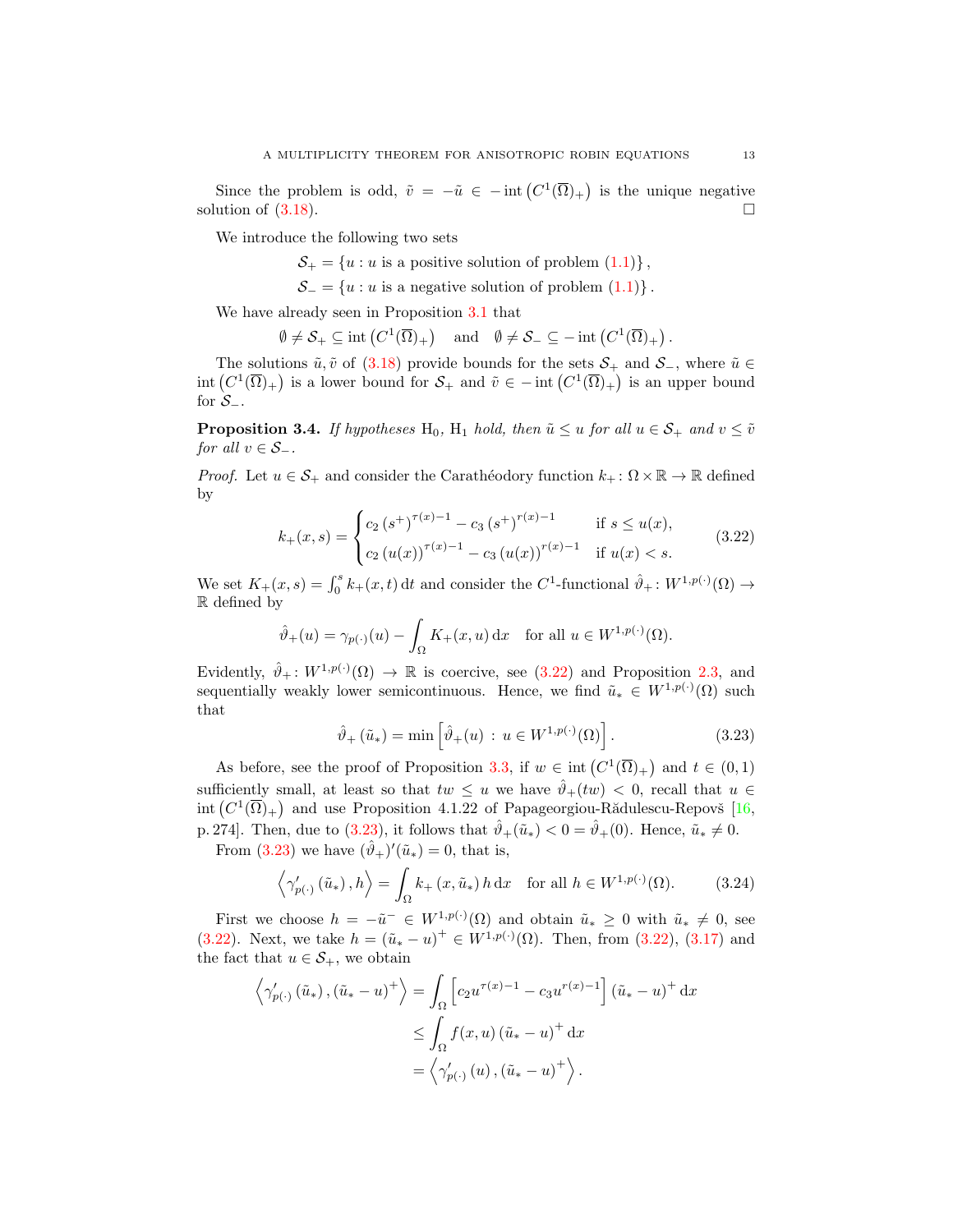Since the problem is odd,  $\tilde{v} = -\tilde{u} \in -\text{int} (C^1(\overline{\Omega})_+)$  is the unique negative solution of  $(3.18)$ .

We introduce the following two sets

 $S_+ = \{u : u$  is a positive solution of problem  $(1.1) \}$  $(1.1) \}$ ,

 $\mathcal{S}_- = \{u : u \text{ is a negative solution of problem } (1.1)\}\.$  $\mathcal{S}_- = \{u : u \text{ is a negative solution of problem } (1.1)\}\.$  $\mathcal{S}_- = \{u : u \text{ is a negative solution of problem } (1.1)\}\.$ 

We have already seen in Proposition [3.1](#page-6-2) that

$$
\emptyset \neq \mathcal{S}_+ \subseteq \mathrm{int}\left(C^1(\overline{\Omega})_+\right) \quad \mathrm{and} \quad \emptyset \neq \mathcal{S}_- \subseteq -\mathrm{int}\left(C^1(\overline{\Omega})_+\right).
$$

The solutions  $\tilde{u}, \tilde{v}$  of [\(3.18\)](#page-10-0) provide bounds for the sets  $\mathcal{S}_+$  and  $\mathcal{S}_-$ , where  $\tilde{u} \in$  $\text{int}(C^1(\overline{\Omega})_+)$  is a lower bound for  $\mathcal{S}_+$  and  $\tilde{v} \in -\text{int}(C^1(\overline{\Omega})_+)$  is an upper bound for  $\mathcal{S}_-$ .

<span id="page-12-3"></span>**Proposition 3.4.** If hypotheses H<sub>0</sub>, H<sub>1</sub> hold, then  $\tilde{u} \leq u$  for all  $u \in S_+$  and  $v \leq \tilde{v}$ for all  $v \in S_-\$ .

*Proof.* Let  $u \in \mathcal{S}_+$  and consider the Carathéodory function  $k_+ : \Omega \times \mathbb{R} \to \mathbb{R}$  defined by

$$
k_{+}(x,s) = \begin{cases} c_{2} (s^{+})^{\tau(x)-1} - c_{3} (s^{+})^{\tau(x)-1} & \text{if } s \le u(x), \\ c_{2} (u(x))^{\tau(x)-1} - c_{3} (u(x))^{\tau(x)-1} & \text{if } u(x) < s. \end{cases}
$$
(3.22)

We set  $K_+(x, s) = \int_0^s k_+(x, t) dt$  and consider the C<sup>1</sup>-functional  $\hat{\vartheta}_+ : W^{1, p(\cdot)}(\Omega) \to$ R defined by

$$
\hat{\vartheta}_+(u)=\gamma_{p(\cdot)}(u)-\int_\Omega K_+(x,u)\,\mathrm{d} x\quad\text{for all }u\in W^{1,p(\cdot)}(\Omega).
$$

Evidently,  $\hat{\vartheta}_+ : W^{1,p(\cdot)}(\Omega) \to \mathbb{R}$  is coercive, see [\(3.22\)](#page-12-0) and Proposition [2.3,](#page-5-0) and sequentially weakly lower semicontinuous. Hence, we find  $\tilde{u}_* \in W^{1,p(\cdot)}(\Omega)$  such that

<span id="page-12-2"></span><span id="page-12-1"></span><span id="page-12-0"></span>
$$
\hat{\vartheta}_{+}\left(\tilde{u}_{*}\right) = \min\left[\hat{\vartheta}_{+}(u) \, : \, u \in W^{1,p(\cdot)}(\Omega)\right].\tag{3.23}
$$

As before, see the proof of Proposition [3.3,](#page-10-2) if  $w \in \text{int}(C^1(\overline{\Omega})_+)$  and  $t \in (0,1)$ sufficiently small, at least so that  $tw \leq u$  we have  $\hat{\vartheta}_+(tw) < 0$ , recall that  $u \in$ int  $(C^1(\overline{\Omega})_+)$  and use Proposition 4.1.22 of Papageorgiou-Rădulescu-Repovš [\[16,](#page-16-12) p. 274]. Then, due to [\(3.23\)](#page-12-1), it follows that  $\hat{\vartheta}_+(\tilde{u}_*) < 0 = \hat{\vartheta}_+(0)$ . Hence,  $\tilde{u}_* \neq 0$ .

From [\(3.23\)](#page-12-1) we have  $(\hat{\theta}_+)'(\tilde{u}_*)=0$ , that is,

$$
\left\langle \gamma'_{p(\cdot)}\left(\tilde{u}_*\right), h \right\rangle = \int_{\Omega} k_+\left(x, \tilde{u}_*\right) h \, \mathrm{d}x \quad \text{for all } h \in W^{1, p(\cdot)}(\Omega). \tag{3.24}
$$

First we choose  $h = -\tilde{u}^- \in W^{1,p(\cdot)}(\Omega)$  and obtain  $\tilde{u}_* \geq 0$  with  $\tilde{u}_* \neq 0$ , see [\(3.22\)](#page-12-0). Next, we take  $h = (\tilde{u}_* - u)^+ \in W^{1,p(\cdot)}(\Omega)$ . Then, from (3.22), [\(3.17\)](#page-10-3) and the fact that  $u \in S_+$ , we obtain

$$
\left\langle \gamma'_{p(\cdot)}\left(\tilde{u}_*\right), \left(\tilde{u}_* - u\right)^+ \right\rangle = \int_{\Omega} \left[ c_2 u^{\tau(x)-1} - c_3 u^{\tau(x)-1} \right] \left(\tilde{u}_* - u\right)^+ \, \mathrm{d}x
$$
  

$$
\leq \int_{\Omega} f(x, u) \left(\tilde{u}_* - u\right)^+ \, \mathrm{d}x
$$
  

$$
= \left\langle \gamma'_{p(\cdot)}\left(u\right), \left(\tilde{u}_* - u\right)^+ \right\rangle.
$$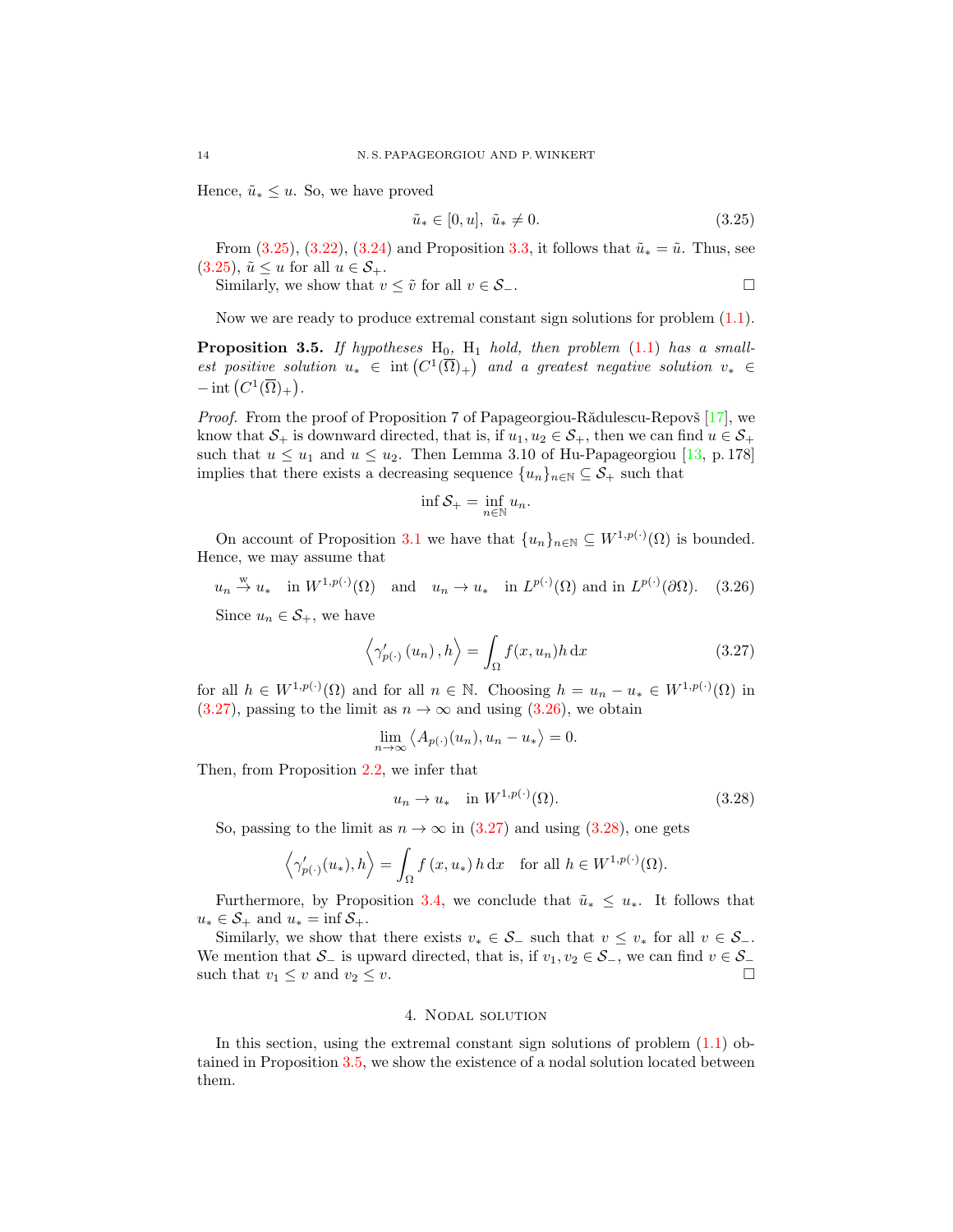Hence,  $\tilde{u}_* \leq u$ . So, we have proved

<span id="page-13-2"></span>
$$
\tilde{u}_* \in [0, u], \tilde{u}_* \neq 0. \tag{3.25}
$$

From [\(3.25\)](#page-13-2), [\(3.22\)](#page-12-0), [\(3.24\)](#page-12-2) and Proposition [3.3,](#page-10-2) it follows that  $\tilde{u}_* = \tilde{u}$ . Thus, see  $(3.25), \tilde{u} \leq u$  $(3.25), \tilde{u} \leq u$  for all  $u \in \mathcal{S}_+$ .

Similarly, we show that  $v \leq \tilde{v}$  for all  $v \in S_-\$ .

Now we are ready to produce extremal constant sign solutions for problem [\(1.1\)](#page-0-0).

<span id="page-13-0"></span>**Proposition 3.5.** If hypotheses  $H_0$ ,  $H_1$  hold, then problem [\(1.1\)](#page-0-0) has a smallest positive solution  $u_* \in \text{int}(C^1(\overline{\Omega})_+)$  and a greatest negative solution  $v_* \in$  $-\operatorname{int}\left(C^1(\overline{\Omega})_+\right).$ 

*Proof.* From the proof of Proposition 7 of Papageorgiou-Rădulescu-Repovš  $[17]$ , we know that  $S_+$  is downward directed, that is, if  $u_1, u_2 \in S_+$ , then we can find  $u \in S_+$ such that  $u \leq u_1$  and  $u \leq u_2$ . Then Lemma 3.10 of Hu-Papageorgiou [\[13,](#page-16-15) p. 178] implies that there exists a decreasing sequence  $\{u_n\}_{n\in\mathbb{N}}\subseteq\mathcal{S}_+$  such that

<span id="page-13-4"></span><span id="page-13-3"></span>
$$
\inf \mathcal{S}_+ = \inf_{n \in \mathbb{N}} u_n.
$$

On account of Proposition [3.1](#page-6-2) we have that  $\{u_n\}_{n\in\mathbb{N}}\subseteq W^{1,p(\cdot)}(\Omega)$  is bounded. Hence, we may assume that

$$
u_n \stackrel{w}{\to} u_*
$$
 in  $W^{1,p(\cdot)}(\Omega)$  and  $u_n \to u_*$  in  $L^{p(\cdot)}(\Omega)$  and in  $L^{p(\cdot)}(\partial\Omega)$ . (3.26)

Since  $u_n \in \mathcal{S}_+$ , we have

$$
\left\langle \gamma_{p(\cdot)}'(u_n), h \right\rangle = \int_{\Omega} f(x, u_n) h \, dx \tag{3.27}
$$

for all  $h \in W^{1,p(\cdot)}(\Omega)$  and for all  $n \in \mathbb{N}$ . Choosing  $h = u_n - u_* \in W^{1,p(\cdot)}(\Omega)$  in  $(3.27)$ , passing to the limit as  $n \to \infty$  and using  $(3.26)$ , we obtain

$$
\lim_{n \to \infty} \langle A_{p(\cdot)}(u_n), u_n - u_* \rangle = 0.
$$

Then, from Proposition [2.2,](#page-4-0) we infer that

<span id="page-13-5"></span>
$$
u_n \to u_* \quad \text{in } W^{1,p(\cdot)}(\Omega). \tag{3.28}
$$

So, passing to the limit as  $n \to \infty$  in [\(3.27\)](#page-13-3) and using [\(3.28\)](#page-13-5), one gets

$$
\langle \gamma'_{p(\cdot)}(u_*), h \rangle = \int_{\Omega} f(x, u_*) h \, dx
$$
 for all  $h \in W^{1, p(\cdot)}(\Omega)$ .

Furthermore, by Proposition [3.4,](#page-12-3) we conclude that  $\tilde{u}_* \leq u_*$ . It follows that  $u_* \in \mathcal{S}_+$  and  $u_* = \inf \mathcal{S}_+$ .

Similarly, we show that there exists  $v_* \in S_-\text{ such that } v \leq v_* \text{ for all } v \in S_-\text{.}$ We mention that  $\mathcal{S}_-$  is upward directed, that is, if  $v_1, v_2 \in \mathcal{S}_-$ , we can find  $v \in \mathcal{S}_$ such that  $v_1 \leq v$  and  $v_2 \leq v$ .

## 4. Nodal solution

<span id="page-13-1"></span>In this section, using the extremal constant sign solutions of problem  $(1.1)$  obtained in Proposition [3.5,](#page-13-0) we show the existence of a nodal solution located between them.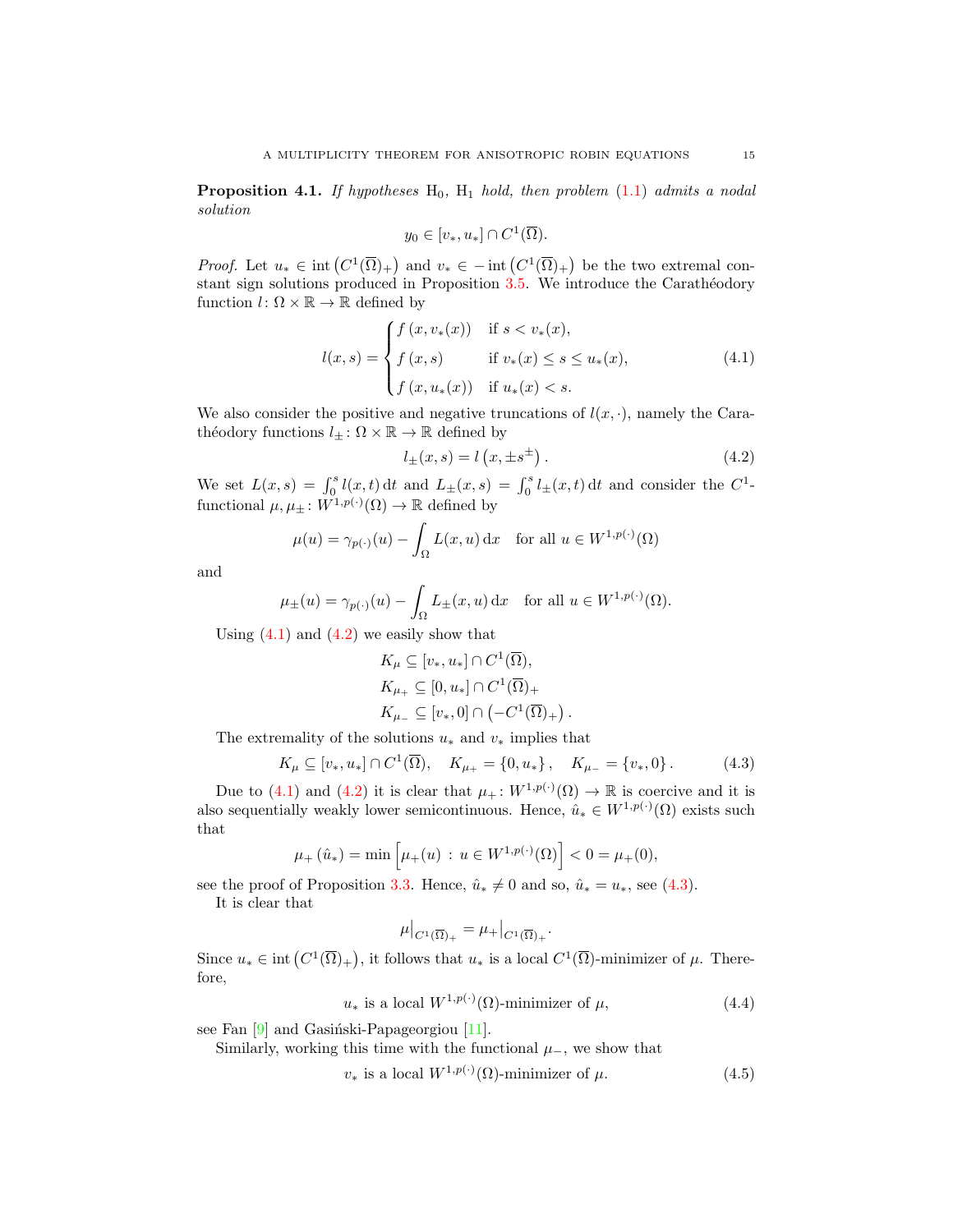<span id="page-14-0"></span>**Proposition 4.1.** If hypotheses  $H_0$ ,  $H_1$  hold, then problem [\(1.1\)](#page-0-0) admits a nodal solution

$$
y_0 \in [v_*, u_*] \cap C^1(\overline{\Omega}).
$$

*Proof.* Let  $u_* \in \text{int}(C^1(\overline{\Omega})_+)$  and  $v_* \in -\text{int}(C^1(\overline{\Omega})_+)$  be the two extremal constant sign solutions produced in Proposition  $3.5$ . We introduce the Carathéodory function  $l: \Omega \times \mathbb{R} \to \mathbb{R}$  defined by

$$
l(x,s) = \begin{cases} f(x,v_*(x)) & \text{if } s < v_*(x), \\ f(x,s) & \text{if } v_*(x) \le s \le u_*(x), \\ f(x,u_*(x)) & \text{if } u_*(x) < s. \end{cases}
$$
(4.1)

We also consider the positive and negative truncations of  $l(x, \cdot)$ , namely the Carathéodory functions  $l_{\pm} : \Omega \times \mathbb{R} \to \mathbb{R}$  defined by

<span id="page-14-1"></span>
$$
l_{\pm}(x,s) = l\left(x, \pm s^{\pm}\right). \tag{4.2}
$$

<span id="page-14-5"></span><span id="page-14-3"></span><span id="page-14-2"></span>.

We set  $L(x, s) = \int_0^s l(x, t) dt$  and  $L_{\pm}(x, s) = \int_0^s l_{\pm}(x, t) dt$  and consider the  $C^1$ functional  $\mu, \mu_{\pm} : W^{1,p(\cdot)}(\Omega) \to \mathbb{R}$  defined by

$$
\mu(u) = \gamma_{p(\cdot)}(u) - \int_{\Omega} L(x, u) \, dx \quad \text{for all } u \in W^{1, p(\cdot)}(\Omega)
$$

and

$$
\mu_{\pm}(u) = \gamma_{p(\cdot)}(u) - \int_{\Omega} L_{\pm}(x, u) dx \quad \text{for all } u \in W^{1, p(\cdot)}(\Omega).
$$

Using  $(4.1)$  and  $(4.2)$  we easily show that

$$
K_{\mu} \subseteq [v_*, u_*] \cap C^1(\overline{\Omega}),
$$
  
\n
$$
K_{\mu_+} \subseteq [0, u_*] \cap C^1(\overline{\Omega})_+
$$
  
\n
$$
K_{\mu_-} \subseteq [v_*, 0] \cap (-C^1(\overline{\Omega})_+)
$$

The extremality of the solutions  $u_*$  and  $v_*$  implies that

$$
K_{\mu} \subseteq [v_*, u_*] \cap C^1(\overline{\Omega}), \quad K_{\mu_+} = \{0, u_*\}, \quad K_{\mu_-} = \{v_*, 0\}.
$$
 (4.3)

Due to [\(4.1\)](#page-14-1) and [\(4.2\)](#page-14-2) it is clear that  $\mu_+ : W^{1,p(\cdot)}(\Omega) \to \mathbb{R}$  is coercive and it is also sequentially weakly lower semicontinuous. Hence,  $\hat{u}_* \in W^{1,p(\cdot)}(\Omega)$  exists such that

$$
\mu_+(\hat{u}_*) = \min\left[\mu_+(u) \, : \, u \in W^{1,p(\cdot)}(\Omega)\right] < 0 = \mu_+(0),
$$

see the proof of Proposition [3.3.](#page-10-2) Hence,  $\hat{u}_* \neq 0$  and so,  $\hat{u}_* = u_*,$  see [\(4.3\)](#page-14-3).

It is clear that

<span id="page-14-4"></span>
$$
\mu|_{C^1(\overline{\Omega})_+} = \mu_+|_{C^1(\overline{\Omega})_+}.
$$

Since  $u_* \in \text{int}(C^1(\overline{\Omega})_+)$ , it follows that  $u_*$  is a local  $C^1(\overline{\Omega})$ -minimizer of  $\mu$ . Therefore,

$$
u_* \text{ is a local } W^{1,p(\cdot)}(\Omega) \text{-minimizer of } \mu,\tag{4.4}
$$

see Fan  $[9]$  and Gasiński-Papageorgiou  $[11]$ .

Similarly, working this time with the functional  $\mu$ <sub>−</sub>, we show that

$$
v_* \text{ is a local } W^{1,p(\cdot)}(\Omega) \text{-minimizer of } \mu. \tag{4.5}
$$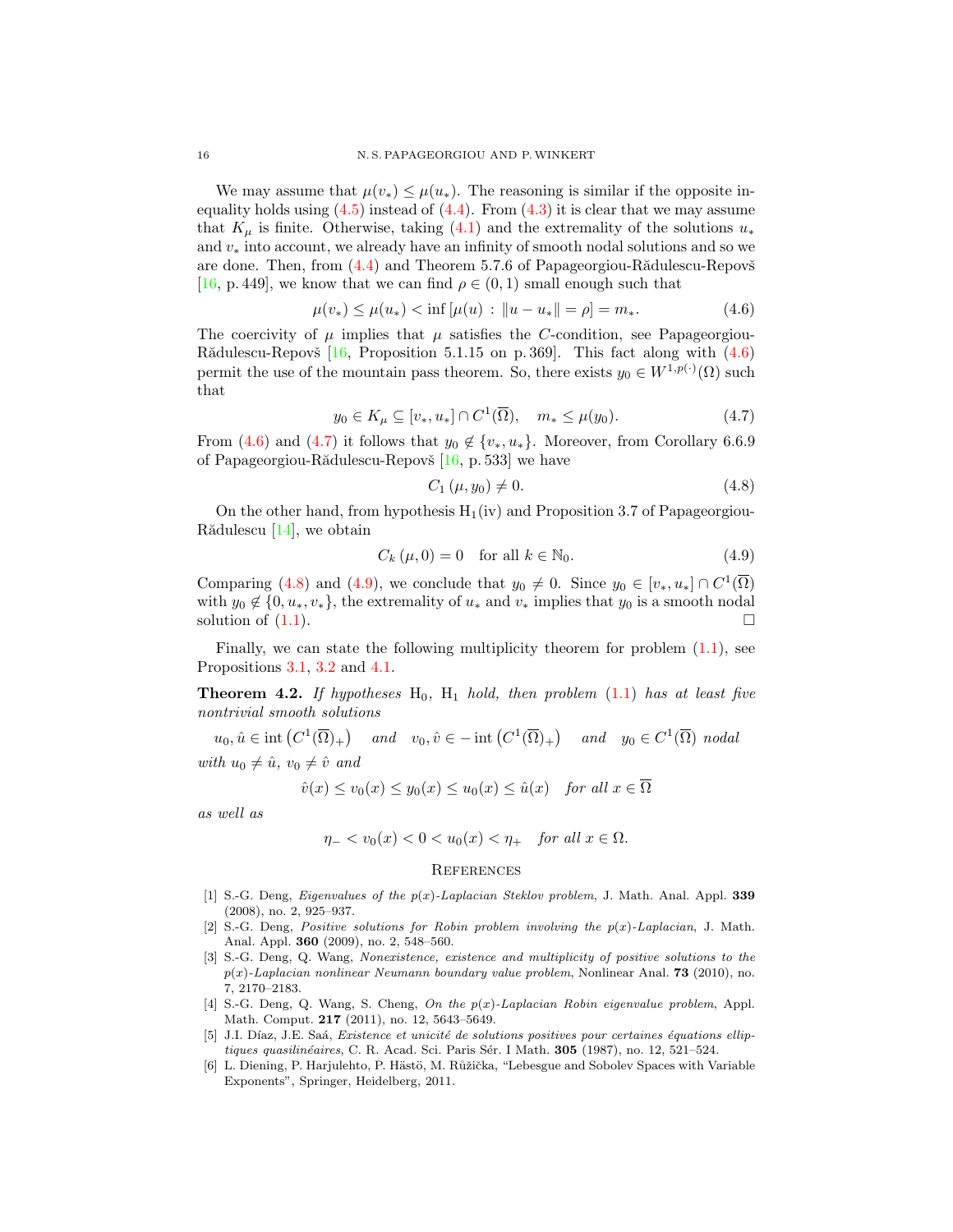We may assume that  $\mu(v_*) \leq \mu(u_*)$ . The reasoning is similar if the opposite inequality holds using  $(4.5)$  instead of  $(4.4)$ . From  $(4.3)$  it is clear that we may assume that  $K_u$  is finite. Otherwise, taking [\(4.1\)](#page-14-1) and the extremality of the solutions  $u_*$ and  $v_*$  into account, we already have an infinity of smooth nodal solutions and so we are done. Then, from  $(4.4)$  and Theorem 5.7.6 of Papageorgiou-R $\ddot{a}$ dulescu-Repov $\ddot{s}$ [\[16,](#page-16-12) p. 449], we know that we can find  $\rho \in (0,1)$  small enough such that

$$
\mu(v_*) \le \mu(u_*) < \inf \left[ \mu(u) \, : \, \|u - u_*\| = \rho \right] = m_*.
$$
\n(4.6)

The coercivity of  $\mu$  implies that  $\mu$  satisfies the C-condition, see Papageorgiou-Rădulescu-Repovš  $[16,$  Proposition 5.1.15 on p. 369. This fact along with  $(4.6)$ permit the use of the mountain pass theorem. So, there exists  $y_0 \in W^{1,p(\cdot)}(\Omega)$  such that

$$
y_0 \in K_\mu \subseteq [v_*, u_*] \cap C^1(\overline{\Omega}), \quad m_* \le \mu(y_0).
$$
 (4.7)

From [\(4.6\)](#page-15-7) and [\(4.7\)](#page-15-8) it follows that  $y_0 \notin \{v_*, u_*\}$ . Moreover, from Corollary 6.6.9 of Papageorgiou-Rădulescu-Repovš  $[16, p. 533]$  $[16, p. 533]$  we have

<span id="page-15-10"></span><span id="page-15-9"></span><span id="page-15-8"></span><span id="page-15-7"></span>
$$
C_1 \left( \mu, y_0 \right) \neq 0. \tag{4.8}
$$

On the other hand, from hypothesis  $H_1(iv)$  and Proposition 3.7 of Papageorgiou-Rădulescu  $[14]$ , we obtain

$$
C_k(\mu, 0) = 0 \quad \text{for all } k \in \mathbb{N}_0. \tag{4.9}
$$

Comparing [\(4.8\)](#page-15-9) and [\(4.9\)](#page-15-10), we conclude that  $y_0 \neq 0$ . Since  $y_0 \in [v_*, u_*] \cap C^1(\overline{\Omega})$ with  $y_0 \notin \{0, u_*, v_*\}$ , the extremality of  $u_*$  and  $v_*$  implies that  $y_0$  is a smooth nodal solution of  $(1.1)$ .

Finally, we can state the following multiplicity theorem for problem  $(1.1)$ , see Propositions [3.1,](#page-6-2) [3.2](#page-8-0) and [4.1.](#page-14-0)

<span id="page-15-5"></span>**Theorem 4.2.** If hypotheses  $H_0$ ,  $H_1$  hold, then problem [\(1.1\)](#page-0-0) has at least five nontrivial smooth solutions

 $u_0, \hat{u} \in \text{int}\left(C^1(\overline{\Omega})_+\right)$  and  $v_0, \hat{v} \in -\text{int}\left(C^1(\overline{\Omega})_+\right)$  and  $y_0 \in C^1(\overline{\Omega})$  nodal with  $u_0 \neq \hat{u}$ ,  $v_0 \neq \hat{v}$  and

$$
\hat{v}(x) \le v_0(x) \le y_0(x) \le u_0(x) \le \hat{u}(x) \quad \text{for all } x \in \Omega
$$

as well as

$$
\eta_- < v_0(x) < 0 < u_0(x) < \eta_+ \quad \text{for all } x \in \Omega.
$$

#### **REFERENCES**

- <span id="page-15-3"></span>[1] S.-G. Deng, *Eigenvalues of the*  $p(x)$ *-Laplacian Steklov problem*, J. Math. Anal. Appl. **339** (2008), no. 2, 925–937.
- <span id="page-15-1"></span>[2] S.-G. Deng, Positive solutions for Robin problem involving the  $p(x)$ -Laplacian, J. Math. Anal. Appl. 360 (2009), no. 2, 548–560.
- <span id="page-15-2"></span>[3] S.-G. Deng, Q. Wang, Nonexistence, existence and multiplicity of positive solutions to the  $p(x)$ -Laplacian nonlinear Neumann boundary value problem, Nonlinear Anal. **73** (2010), no. 7, 2170–2183.
- <span id="page-15-4"></span>[4] S.-G. Deng, Q. Wang, S. Cheng, On the p(x)-Laplacian Robin eigenvalue problem, Appl. Math. Comput. 217 (2011), no. 12, 5643–5649.
- <span id="page-15-6"></span>[5] J.I. Díaz, J.E. Saá, Existence et unicité de solutions positives pour certaines équations elliptiques quasilinéaires, C. R. Acad. Sci. Paris Sér. I Math. 305 (1987), no. 12, 521-524.
- <span id="page-15-0"></span>[6] L. Diening, P. Harjulehto, P. Hästö, M. Růžička, "Lebesgue and Sobolev Spaces with Variable Exponents", Springer, Heidelberg, 2011.